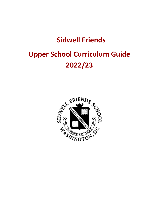## **Sidwell Friends**

# **Upper School Curriculum Guide 2022/23**

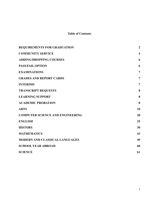## **Table of Contents**

| <b>REQUIREMENTS FOR GRADUATION</b>      | $\boldsymbol{2}$        |
|-----------------------------------------|-------------------------|
| <b>COMMUNITY SERVICE</b>                | $\overline{\mathbf{4}}$ |
| <b>ADDING/DROPPING COURSES</b>          | 6                       |
| <b>PASS/FAIL OPTION</b>                 | 6                       |
| <b>EXAMINATIONS</b>                     | $\overline{7}$          |
| <b>GRADES AND REPORT CARDS</b>          | $\overline{7}$          |
| <b>INTERIMS</b>                         | $\overline{7}$          |
| <b>TRANSCRIPT REQUESTS</b>              | 8                       |
| <b>LEARNING SUPPORT</b>                 | 8                       |
| <b>ACADEMIC PROBATION</b>               | 8                       |
| <b>ARTS</b>                             | 10                      |
| <b>COMPUTER SCIENCE AND ENGINEERING</b> | 20                      |
| <b>ENGLISH</b>                          | 25                      |
| <b>HISTORY</b>                          | 30                      |
| <b>MATHEMATICS</b>                      | 43                      |
| <b>MODERN AND CLASSICAL LANGUAGES</b>   | 49                      |
| <b>SCHOOL YEAR ABROAD</b>               | 60                      |
| <b>SCIENCE</b>                          | 61                      |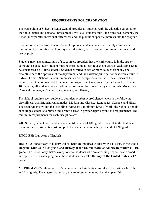## **REQUIREMENTS FOR GRADUATION**

<span id="page-2-0"></span>The curriculum at Sidwell Friends School provides all students with the education essential to their intellectual and personal development. While all students fulfill the same requirements, the School incorporates individual differences and the pursuit of specific interests into the program.

In order to earn a Sidwell Friends School diploma, students must successfully complete a minimum of 20 credits as well as physical education, work program, community service, and senior projects.

Students may take a maximum of six courses, provided that the sixth course is in the arts or computer science. Each student must be enrolled in at least four credit courses each semester to be considered a full-time student. Students enrolled in two or more courses from any one discipline need the approval of the department and the assistant principal for academic affairs. A Sidwell Friends School transcript represents work completed at or under the auspices of the School; credit is not awarded for courses in programs not sanctioned by the School. In 9th and 10th grades, all students must enroll in the following five course subjects: English, Modern and Classical Languages, Mathematics, Science, and History.

The School requires each student to complete *minimum* proficiency levels in the following disciplines: Arts, English, Mathematics, Modern and Classical Languages, Science, and History. The requirements within the disciplines represent a minimum level of work; the School strongly encourages students to pursue one or more areas in greater depth beyond the requirements. The minimum requirements for each discipline are:

**ARTS:** two years of arts. Students have until the end of 10th grade to complete the first year of the requirement; students must complete the second year of arts by the end of 12th grade.

## **ENGLISH:** four years of English

**HISTORY:** three years of history. All students are required to take **World History** in 9th grade, **Regional Studies** in 10th grade, and **History of the United States** or **American Studies** in 11th grade. The School only makes exceptions for students who are attending School Year Abroad and approved semester programs; those students may take **History of the United States** in 12th grade.

**MATHEMATICS:** three years of mathematics. All students must take math during 9th, 10th, and 11th grade. The classes that satisfy this requirement may not be taken pass/fail.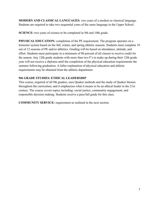**MODERN AND CLASSICAL LANGUAGES:** two years of a modern or classical language. Students are required to take two sequential years of the same language in the Upper School.

**SCIENCE:** two years of science to be completed in 9th and 10th grade.

**PHYSICAL EDUCATION:** completion of the PE requirement. The program operates on a trimester system based on the fall, winter, and spring athletic seasons. Students must complete 10 out of 12 seasons of PE and/or athletics. Grading will be based on attendance, attitude, and effort. Students must participate in a minimum of 80 percent of all classes to receive credit for the season. Any 12th grade students with more than two F's to make up during their 12th grade year will not receive a diploma until the completion of the physical education requirements the summer following graduation. A fuller explanation of physical education and athletic requirements may be obtained from the athletic department.

## **9th GRADE STUDIES: ETHICAL LEADERSHIP**

This course, required of all 9th graders, uses Quaker methods and the study of Quaker themes throughout the curriculum, and it emphasizes what it means to be an ethical leader in the 21st century. The course covers topics including: social justice, community engagement, and responsible decision making. Students receive a pass/fail grade for this class.

**COMMUNITY SERVICE:** requirement as outlined in the next section.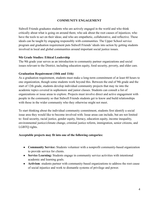## **COMMUNITY ENGAGEMENT**

Sidwell Friends graduates students who are actively engaged in the world and who think critically about what is going on around them; who ask about the root causes of injustices; who have the tools to act on their ideas; and who are empathetic, collaborative, and reflective. These ideals can be taught by engaging responsibly with communities. The Upper School service program and graduation requirement puts Sidwell Friends' ideals into action by getting students involved in local and global communities around important social justice issues.

#### **9th Grade Studies: Ethical Leadership**

The 9th grade year serves as an introduction to community partner organizations and social issues relevant to the District, including education equity, food security, poverty, and elder care.

## **Graduation Requirement (10th and 11th)**

As a graduation requirement, students must make a long-term commitment of at least 60 hours to one organization, though some students work beyond this. Between the end of 9th grade and the start of 12th grade, students develop individual community projects that may tie into the academic topics covered in sophomore and junior classes. Students can consult a list of organizations or issue areas to explore. Projects must involve direct and active engagement with people in the community so that Sidwell Friends students get to know and build relationships with those in the wider community who they otherwise might not meet.

To start thinking about the individual community commitment, students first identify a social issue area they would like to become involved with. Issue areas can include, but are not limited to: food security, racial justice, gender equity, literacy, education equity, income inequality, environmental justice/climate change, criminal justice reform, immigration, senior citizens, and LGBTQ rights.

#### **Acceptable projects may fit into one of the following categories:**

- **Community Service:** Students volunteer with a nonprofit community-based organization to provide service for clients.
- **Service Learning:** Students engage in community service activities with intentional academic and learning goals.
- **Activism**: students partner with community-based organizations to address the root cause of social injustice and work to dismantle systems of privilege and power.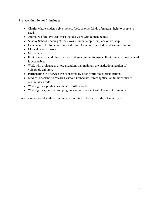## **Projects that do not fit include:**

- Charity where students give money, food, or other kinds of material help to people in need.
- Animal welfare: Projects must include work with human beings.
- Sunday School teaching at one's own church, temple, or place of worship.
- Camp counselor for a conventional camp: Camp must include underserved children.
- Clerical or office work.
- Museum work.
- Environmental work that does not address community needs: Environmental justice work is acceptable.
- Work with orphanages or organizations that maintain the institutionalization of vulnerable children.
- Participating in a service trip sponsored by a for-profit travel organization.
- Medical or scientific research without immediate, direct application to individual or community needs.
- Working for a political candidate or officeholder.
- Working for groups whose programs are inconsistent with Friends' testimonies.

<span id="page-5-0"></span>Students must complete this community commitment by the first day of senior year.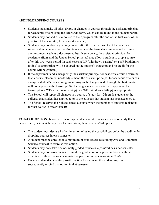## **ADDING/DROPPING COURSES**

- Students must make all adds, drops, or changes in courses through the assistant principal for academic affairs using the Drop/Add form, which can be found in the student portal.
- Students may not add a new course to their program after the end of the first week of the year (or of the semester, for a semester course).
- Students may not drop a yearlong course after the first two weeks of the year or a semester-long course after the first two weeks of the term. (In some rare and extreme circumstances, such as a documented health emergency, the assistant principal for academic affairs and the Upper School principal may allow a student to drop a course after this two-week period. In such cases, a WP [withdrawn passing] or a WF [withdrawn failing] as appropriate will be entered on the student's transcript and no credit for the course will be granted.)
- If the department and subsequently the assistant principal for academic affairs determine that a course placement needs adjustment, the assistant principal for academic affairs can change a student's course assignment. Any such changes made through the first quarter will not appear on the transcript. Such changes made thereafter will appear on the transcript as a WP (withdrawn passing) or a WF (withdrawn failing) as appropriate.
- The School will report all changes in a course of study for 12th grade students to the colleges that student has applied to or to the colleges that student has been accepted to.
- The School reserves the right to cancel a course when the number of students registered for that course is fewer than 10.

<span id="page-6-0"></span>**PASS/FAIL OPTION:** In order to encourage students to take courses in areas of study that are new to them, or in which they may feel uncertain, there is a pass/fail option.

- The student must declare his/her intention of using the pass/fail option by the deadline for dropping courses in each semester.
- A student must be enrolled in a minimum of four classes (excluding Arts and Computer Science courses) to exercise this option.
- Students may only take one normally graded course on a pass/fail basis per semester.
- Students may not take courses required for graduation on a pass/fail basis, with the exception of those courses designated as pass/fail in the *Curriculum Guide*.
- Once a student declares the pass/fail option for a course, the student may not subsequently rescind that option in that semester.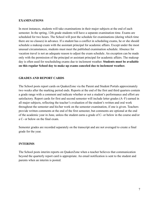## <span id="page-7-0"></span>**EXAMINATIONS**

In most instances, students will take examinations in their major subjects at the end of each semester. In the spring, 12th grade students will have a separate examination time. Exams are scheduled for two hours. The School will post the schedule for examinations (during which time there are no classes) in advance. If a student has a conflict in scheduling exams, he or she should schedule a makeup exam with the assistant principal for academic affairs. Except under the most unusual circumstances, students must meet the published examination schedule. Absence for vacation travel is not an adequate reason to adjust the exam schedule. An exception can be made only with the permission of the principal or assistant principal for academic affairs. The makeup day is often used for rescheduling exams due to inclement weather. **Students must be available on this regular School day to make up exams canceled due to inclement weather.**

## <span id="page-7-1"></span>**GRADES AND REPORT CARDS**

The School posts report cards on QuakerZone via the Parent and Student Portals approximately two weeks after the marking period ends. Reports at the end of the first and third quarters contain a grade range with a comment and indicate whether or not a student's performance and effort are satisfactory. Report cards for first and second semester will include letter grades (A–F) earned in all major subjects, reflecting the teacher's evaluation of the student's written and oral work throughout the semester and his/her work on the semester examination, if one is given. Teachers provide written comments at the end of the first semester, but comments are optional at the end of the academic year in June, unless the student earns a grade of C- or below in the course and/or a C- or below on the final exam.

Semester grades are recorded separately on the transcript and are not averaged to create a final grade for the year.

## <span id="page-7-2"></span>**INTERIMS**

The School posts interim reports on QuakerZone when a teacher believes that communication beyond the quarterly report card is appropriate. An email notification is sent to the student and parents when an interim is posted.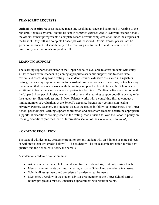#### <span id="page-8-0"></span>**TRANSCRIPT REQUESTS**

**Official transcript** requests must be made one week in advance and submitted in writing to the registrar. Requests by email should be sent to *registrar@sidwell.edu*. At Sidwell Friends School, the official transcript represents a complete record of work completed at or under the auspices of the School. Only full and complete transcripts will be issued. Official transcripts will not be given to the student but sent directly to the receiving institution. Official transcripts will be issued only when accounts are paid in full.

## <span id="page-8-1"></span>**LEARNING SUPPORT**

The learning support coordinator in the Upper School is available to assist students with study skills; to work with teachers in planning appropriate academic support; and to coordinate, review, and assess diagnostic testing. If a student requires extensive assistance in English or history, the learning support coordinator, assistant principal for academic affairs, or teacher may recommend that the student work with the writing support teacher. At times, the School needs additional information about a student experiencing learning difficulties. After consultation with the Upper School psychologist, teachers, and parents, the learning support coordinator may refer the student for diagnostic testing. Sidwell Friends works with a consulting firm to conduct a limited number of evaluations at the School's expense. Parents may commission testing privately. Parents, teachers, and students discuss the results in follow-up conferences. The Upper School psychologist, learning support coordinator, and classroom teachers determine appropriate supports. If disabilities are diagnosed in the testing, each division follows the School's policy on learning disabilities (see the General Information section of the *Community Handbook*).

## <span id="page-8-2"></span>**ACADEMIC PROBATION**

The School will designate academic probation for any student with an F in one or more subjects or with more than two grades below C-. The student will be on academic probation for the next quarter, and the School will notify the parents.

A student on academic probation must:

- Attend study hall, math help, etc. during free periods and sign out only during lunch.
- Meet all commitments on time, including arrival at School and attendance in classes.
- Submit all assignments and complete all academic requirements.
- Meet once a week with the student advisor or a member of the Upper School staff to review progress; a missed, unexcused appointment will result in points.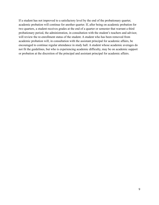If a student has not improved to a satisfactory level by the end of the probationary quarter, academic probation will continue for another quarter. If, after being on academic probation for two quarters, a student receives grades at the end of a quarter or semester that warrant a third probationary period, the administration, in consultation with the student's teachers and advisor, will review the re-enrollment status of the student. A student who has been removed from academic probation will, in consultation with the assistant principal for academic affairs, be encouraged to continue regular attendance in study hall. A student whose academic averages do not fit the guidelines, but who is experiencing academic difficulty, may be on academic support or probation at the discretion of the principal and assistant principal for academic affairs.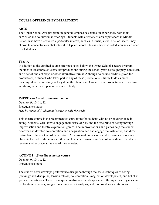## **COURSE OFFERINGS BY DEPARTMENT**

## <span id="page-10-0"></span>**ARTS**

The Upper School Arts program, in general, emphasizes hands-on experience, both in its curricular and co-curricular offerings. Students with a variety of arts experiences in Middle School who have discovered a particular interest, such as in music, visual arts, or theater, may choose to concentrate on that interest in Upper School. Unless otherwise noted, courses are open to all students.

## **Theatre**

In addition to the credited course offerings listed below, the Upper School Theatre Program includes at least three co-curricular productions during the school year; a straight play, a musical, and a set of one-act plays or other alternative format. Although no course credit is given for productions, a student who takes part in any of these productions is likely to do as much meaningful work and study as they do in the classroom. Co-curricular productions are cast from auditions, which are open to the student body.

#### **IMPROV—.5 credit; semester course**

Open to: 9, 10, 11, 12 Prerequisites: none *May be repeated 1 additional semester only for credit.*

This theatre course is the recommended entry point for students with no prior experience in acting. Students learn how to engage their sense of play and the discipline of acting through improvisation and theatre exploration games. The improvisations and games help the student discover and develop concentration and imagination, tap and engage the instinctive, and direct instinctive behavior toward the creative. All classwork, rehearsals, and performances occur in class. At the end of the semester, there will be a performance in front of an audience. Students receive a letter grade at the end of the semester.

## **ACTING I—.5 credit; semester course**

Open to: 9, 10, 11, 12 Prerequisites: none

The student actor develops performance discipline through the basic techniques of acting (playing): self-discipline, tension release, concentration, imagination development, and belief in given circumstances. These techniques are discussed and experienced through theatre games and exploration exercises, assigned readings, script analysis, and in-class demonstrations and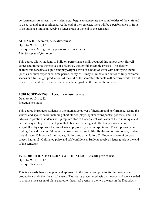performances. As a result, the student actor begins to appreciate the complexities of the craft and to discover and gain confidence. At the end of the semester, there will be a performance in front of an audience. Students receive a letter grade at the end of the semester.

#### **ACTING II—.5 credit; semester course**

Open to: 9, 10, 11, 12 Prerequisites: Acting I, or by permission of instructor *May be repeated for credit.*

This course allows students to build on performance skills acquired throughout their Sidwell career and immerse themselves in a rigorous, thoughtful ensemble process. The class will analyze and rehearse a significant playwright's work or a body of work with a unifying theme (such as cultural experience, time period, or style). It may culminate in a series of fully explored scenes or a full-length production. At the end of the semester, students will perform work in front of an invited audience. Students receive a letter grade at the end of the semester.

## **PUBLIC SPEAKING—.5 credit; semester course**

Open to: 9, 10, 11, 12 Prerequisites: none

This course introduces students to the interactive power of literature and performance. Using the written and spoken word including short stories, plays, spoken word poetry, podcasts, and TED talks as inspiration, students will jump into stories that connect with each of them in unique and current ways. They will develop skills to become exciting and effective performers and story-tellers by exploring the use of voice, physicality, and interpretation. The emphasis is on finding fun and meaningful ways to make stories come to life. By the end of this course, students should have:(1) Improved their voice, diction, and articulation, (2) Become aware of personal speech habits, (3) Cultivated poise and self-confidence. Students receive a letter grade at the end of the semester.

#### **INTRODUCTION TO TECHNICAL THEATER—1 credit; year course**

Open to: 9, 10, 11, 12 Prerequisites: none

This is a mostly hands-on, practical approach to the production process for dramatic stage productions and other theatrical events. The course places emphasis on the practical work needed to produce the season of plays and other theatrical events in the two theaters in the Kogod Arts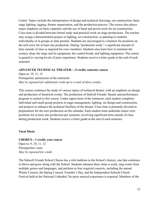Center. Topics include the interpretation of design and technical drawings, set construction, basic stage lighting, rigging, theater organization, and the production process. The course also places major emphasis on basic carpentry and the use of hand and power tools for set construction. Class time is divided between formal study and practical work on stage productions. The teacher may assign a demonstration project in lighting, set construction, or painting to students individually or in groups as time permits. Students are encouraged to volunteer for positions on the tech crew for at least one production. During "production week," a significant amount of time outside of class is required for crew members. Students also learn how to maintain the scenery shop, the stage and its equipment, the control booth, and lighting equipment. The course is geared to varying levels of prior experience. Students receive a letter grade at the end of each semester.

#### **ADVANCED TECHNICAL THEATER—.5 credit; semester course**

Open to: 10, 11, 12 Prerequisite: permission of the instructor *May be repeated for additional credit up to a total of three credits.*

This course continues the study of various topics of technical theater, with an emphasis on design and production of theatrical events. The production of Sidwell Friends' theater and performance program is central to this course. Under supervision of the instructor, each student completes individual and small-group projects in stage management, lighting, set design and construction, and projects to enhance the technical facilities of the theater. Class time is primarily devoted to preparations for the next production on the calendar. Each student must undertake major crew positions for at least one production per semester, involving significant time outside of class during production week. Students receive a letter grade at the end of each semester.

#### **Vocal Music**

#### **CHORUS—1 credit; year course**

Open to: 9, 10, 11, 12 Prerequisites: none *May be repeated for credit.*

The Sidwell Friends School Chorus has a rich tradition in the School's history, one that continues to thrive and grow along with the School. Students rehearse three times a week, sing works from multiple genres and languages, and perform in four required concerts, including the annual Winter Concert, the Spring Concert, Founder's Day, and the Independent Schools Choral Festival held at the National Cathedral. No prior musical experience is required. Members of the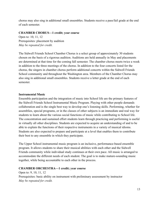chorus may also sing in additional small ensembles. Students receive a pass/fail grade at the end of each semester.

## **CHAMBER CHORUS—1 credit; year course**

Open to: 10, 11, 12 Prerequisites: placement by audition *May be repeated for credit.*

The Sidwell Friends School Chamber Chorus is a select group of approximately 30 students chosen on the basis of a rigorous audition. Auditions are held annually in May and placements are determined at that time for the coming fall semester. The chamber chorus meets twice a week in addition to the three meetings of the chorus. In addition to the four concerts listed for the chorus, the singers in chamber chorus perform additional concerts within the Sidwell Friends School community and throughout the Washington area. Members of the Chamber Chorus may also sing in additional small ensembles. Students receive a letter grade at the end of each semester.

#### **Instrumental Music**

Ensemble participation and the integration of music into School life are the primary features of the Sidwell Friends School Instrumental Music Program. Playing with other people demands collaboration and is the single best way to develop one's listening skills. Performing, whether for assemblies, special programs, or in the classes of other subjects is an immediate and real way for students to learn about the various social functions of music while contributing to School life. The concentration and sustained effort students learn through practicing and performing is useful in virtually all other disciplines. Students are expected to acquire an understanding of and to be able to explain the functions of their respective instruments in a variety of musical idioms. Students are also expected to prepare and participate at a level that enables them to contribute their best to any ensemble in which they participate.

The Upper School instrumental music program is an inclusive, performance-based ensemble program. It allows students to share their musical abilities with each other and the Sidwell Friends community while individual study continues at their own pace. All music is arranged to accommodate the different needs of each student. The goal is to make mature-sounding music together, while being accountable to each other in the process.

## **CHAMBER ORCHESTRA—1 credit; year course**

Open to: 9, 10, 11, 12 Prerequisites: basic ability on instrument with preliminary assessment by instructor *May be repeated for credit.*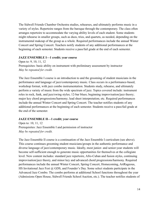The Sidwell Friends Chamber Orchestra studies, rehearses, and ultimately performs music in a variety of styles. Repertoire ranges from the baroque through the contemporary. The class often arranges repertoire to accommodate the varying ability levels of each student. Some students might rehearse in smaller groups, such as duos, trios, and quartets, as needed, depending on the instrumental makeup of the group as a whole. Required performances include the annual Winter Concert and Spring Concert. Teachers notify students of any additional performances at the beginning of each semester. Students receive a pass/fail grade at the end of each semester.

#### **JAZZ ENSEMBLE I—1 credit; year course**

Open to: 9, 10, 11, 12 Prerequisites: basic ability on instrument with preliminary assessment by instructor *May be repeated for credit.*

The Jazz Ensemble I course is an introduction to and the grooming of student musicians in the performance and language of jazz/contemporary music. Class occurs in a performance-based, workshop format, with jazz combo instrumentation. Students study, rehearse, and ultimately perform a variety of music from the wide spectrum of jazz. Topics covered include: instrument roles in rock, funk, and jazz/swing styles; 12-bar blues; beginning improvisation/jazz theory; major key chord progressions/harmony; lead sheet interpretation; etc. Required performances include the annual Winter Concert and Spring Concert. The teacher notifies students of any additional performances at the beginning of each semester. Students receive a pass/fail grade at the end of the semester.

## **JAZZ ENSEMBLE II—1 credit; year course**

Open to: 10, 11, 12 Prerequisites: Jazz Ensemble I and permission of instructor *May be repeated for credit.*

The Jazz Ensemble II course is a continuation of the Jazz Ensemble I curriculum (see above). This course continues grooming student musicians/groups in the authentic performance and diverse language of jazz/contemporary music. Ideally, most junior- and senior-year students will become self-sufficient enough to generate music opportunities for themselves at the collegiate level. New content includes: standard jazz repertoire, Afro-Cuban and fusion styles, continuing improvisation/jazz theory, and minor key and advanced chord progressions/harmony. Required performances include the annual Winter Concert, Spring Concert, Homecoming, ArtRageous, HS Invitational Jazz Fest @ GDS, and Founder's Day. Some select students participate in the Advanced Jazz Combo. The combo performs at additional School functions throughout the year (Admissions Open House, Sidwell Friends School Auction, etc.). The teacher notifies students of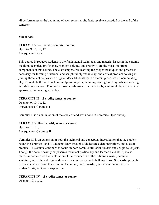all performances at the beginning of each semester. Students receive a pass/fail at the end of the semester.

#### **Visual Arts**

#### **CERAMICS I—.5 credit; semester course**

Open to: 9, 10, 11, 12 Prerequisites: none

This course introduces students to the fundamental techniques and material issues in the ceramic medium. Technical proficiency, problem-solving, and creativity are the most important components in this course. The class emphasizes learning the proper techniques and processes necessary for forming functional and sculptural objects in clay, and critical problem-solving in joining these techniques with original ideas. Students learn different processes of manipulating clay to create both functional and sculptural objects, including coiling/pinching, wheel-throwing, and slab construction. This course covers utilitarian ceramic vessels, sculptural objects, and new approaches to creating with clay.

#### **CERAMICS II—.5 credit; semester course**

Open to: 9, 10, 11, 12 Prerequisites: Ceramics I

Ceramics II is a continuation of the study of and work done in Ceramics I (see above).

## **CERAMICS III—.5 credit; semester course**

Open to: 10, 11, 12 Prerequisites: Ceramics II

Ceramics III is an extension of both the technical and conceptual investigation that the student began in Ceramics I and II. Students learn through slide lectures, demonstrations, and a lot of practice. This course continues to focus on both ceramic utilitarian vessels and sculptural objects. Though the course heavily emphasizes technical proficiency and learned hand skills, it also places importance on the exploration of the boundaries of the utilitarian vessel, ceramic sculpture, and of how design and concept can influence and challenge form. Successful projects in this course are those that combine technique, craftsmanship, and invention to realize a student's original idea or expression.

## **CERAMICS IV—.5 credit; semester course**

Open to: 10, 11, 12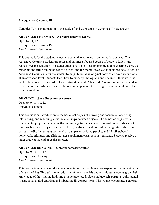Prerequisites: Ceramics III

Ceramics IV is a continuation of the study of and work done in Ceramics III (see above).

## **ADVANCED CERAMICS—.5 credit; semester course**

Open to: 11, 12 Prerequisites: Ceramics IV *May be repeated for credit.*

This course is for the student whose interest and experience in ceramics is advanced. The Advanced Ceramics student proposes and outlines a focused course of study to follow and realize over the semester. The student must choose to focus on one method of creating work, the materials and firing temperatures to be used, and the themes involved in their projects. A goal of Advanced Ceramics is for the student to begin to build an original body of ceramic work that is at an advanced level. Students learn how to properly photograph and document their work, as well as how to write a well-developed artist statement. Advanced Ceramics requires the student to be focused, self-directed, and ambitious in the pursuit of realizing their original ideas in the ceramic medium.

## **DRAWING—.5 credit; semester course**

Open to: 9, 10, 11, 12 Prerequisites: none

This course is an introduction to the basic techniques of drawing and focuses on observing, interpreting, and rendering visual relationships between objects. The semester begins with fundamental projects that deal with contour, negative space, and composition and advances to more sophisticated projects such as still life, landscape, and portrait drawing. Students explore various media, including graphite, charcoal, pastel, colored pencils, and ink. Sketchbook homework, critiques, and slide lectures supplement classroom assignments. Students receive a letter grade at the end of each semester.

## **ADVANCED DRAWING—.5 credit; semester course**

Open to: 9, 10, 11, 12 Prerequisites: Drawing *May be repeated for credit.*

This course is an advanced-drawing concepts course that focuses on expanding an understanding of mark-making. Through the introduction of new materials and techniques, students grow their knowledge of drawing methods and artistic practice. Projects include self-portraits, color-pencil illustrations, digital drawing, and mixed-media compositions. This course encourages personal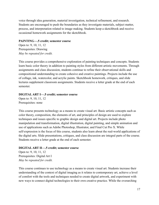voice through idea generation, material investigation, technical refinement, and research. Students are encouraged to push the boundaries as they investigate materials, subject matter, process, and interpretation related to image making. Students keep a sketchbook and receive occasional homework assignments for the sketchbook.

#### **PAINTING—.5 credit; semester course**

Open to: 9, 10, 11, 12 Prerequisites: Drawing *May be repeated for credit.*

This course provides a comprehensive exploration of painting techniques and concepts. Students learn basic color theory in addition to painting styles from different artistic movements. Through assignments and class discussion, students continue to refine their observational skills and compositional understanding to create cohesive and creative paintings. Projects include the use of collage, ink, watercolor, and acrylic paints. Sketchbook homework, critiques, and slide lectures supplement classroom assignments. Students receive a letter grade at the end of each semester.

## **DIGITALART I—.5 credit; semester course**

Open to: 9, 10, 11, 12 Prerequisites: none

This course presents technology as a means to create visual art. Basic artistic concepts such as color theory, composition, the elements of art, and principles of design are used to explore techniques and issues specific to graphic design and digital art. Projects include photo manipulation and transformation, digital illustration, digital painting, and simple animation and use of applications such as Adobe Photoshop, Illustrator, and Final Cut Pro X. While self-expression is the focus of this course, students also learn about the real-world applications of the digital arts. Slide presentations, critiques, and class discussion are integral parts of the course. Students receive a letter grade at the end of each semester.

## **DIGITALART II—.5 credit; semester course**

Open to: 9, 10, 11, 12 Prerequisites: Digital Art I *May be repeated for credit.*

This course continues to use technology as a means to create visual art. Students increase their understanding of the context of digital imaging as it relates to contemporary art, achieve a level of comfort with the tools and techniques needed to create digital artwork, and experiment with new ways to connect digital technologies to their own creative practice. While the overarching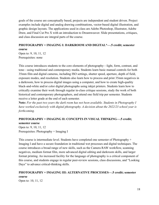goals of the course are conceptually based, projects are independent and student driven. Project examples include digital and analog drawing combinations, vector-based digital illustration, and graphic design layouts. The applications used in class are Adobe Photoshop, Illustrator, Adobe Draw, and Final Cut Pro X with an introduction to Dreamweaver. Slide presentations, critiques, and class discussion are integral parts of the course.

## **PHOTOGRAPHY + IMAGING I: DARKROOM AND DIGITAL\*—.5 credit; semester course**

Open to: 9, 10, 11, 12 Prerequisites: none

This course introduces students to the core elements of photography—light, form, contrast, and tone—using traditional and contemporary media. Students learn basic manual controls for both 35mm film and digital cameras, including ISO settings, shutter speed, aperture, depth of field, exposure modes, and resolution. Students also learn how to process and print 35mm negatives in a darkroom, how to process digital images using a computer, and how to create high-quality black-and-white and/or color digital photographs using inkjet printers. Students learn how to critically examine their work through regular in-class critique sessions, study the work of both historical and contemporary photographers, and attend one field trip per semester. Students receive a letter grade at the end of each semester.

**Note:** *For the past two years the dark room has not been available. Students in Photography I have worked exclusively with digital photography. A decision about the 2022/23 school year is forthcoming.*

## **PHOTOGRAPHY + IMAGING II: CONCEPTS IN VISUAL THINKING—.5 credit;**

**semester course** Open to: 9, 10, 11, 12 Prerequisites: Photography + Imaging I

This course is intermediate level. Students have completed one semester of Photography + Imaging I and have a secure foundation in traditional wet processes and digital techniques. The course introduces a broad range of new skills, such as the Camera RAW workflow, scanning negatives, medium format film, more advanced digital editing and darkroom skills, and larger format printing. An increased facility for the language of photography is a critical component of this course, and students engage in regular peer-review sessions, class discussions, and "Looking Days" to advance critical-thinking skills.

## **PHOTOGRAPHY + IMAGING III: ALTERNATIVE PROCESSES—.5 credit; semester course**

Open to: 10, 11, 12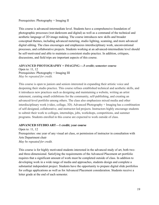## Prerequisites: Photography + Imaging II

This course is advanced-intermediate level. Students have a comprehensive foundation of photographic processes (wet darkroom and digital) as well as a command of the technical and aesthetic language of 2D image making. The course introduces new skills and broader conceptual themes, including advanced metering, studio lighting, scanning, and more advanced digital editing. The class encourages and emphasizes interdisciplinary work, unconventional processes, and collaborative projects. Students working at an advanced-intermediate level should be self-motivated and able to maintain a consistent studio practice. In addition, critiques, discussions, and field trips are important aspects of this course.

## **ADVANCED PHOTOGRAPHY + IMAGING—.5 credit; semester course**

Open to: 11, 12 Prerequisites: Photography + Imaging III *May be repeated for credit.*

This course is open to juniors and seniors interested in expanding their artistic voice and deepening their studio practice. This course refines established technical and aesthetic skills, and it introduces new practices such as designing and maintaining a website, writing an artist statement, curating small exhibitions for the community, self-publishing, and creating an advanced-level portfolio among others. The class also emphasizes mixed media and other interdisciplinary work (video, collage, 3D). Advanced Photography + Imaging has a combination of self-designed, collaborative, and instructor-led projects. Instructors highly encourage students to submit their work to colleges, internships, jobs, workshops, competitions, and summer programs. Students enrolled in this course are expected to work outside of class.

## **ADVANCED STUDIO ART—1 credit; year course**

Open to: 11, 12 Prerequisites: one year of any visual art class, or permission of instructor in consultation with Arts Department chair *May be repeated for credit.*

This course is for highly motivated students interested in the advanced study of art, both twoand three-dimensional. Satisfying the requirements of the Advanced Placement art portfolio requires that a significant amount of work must be completed outside of class. In addition to developing work in a wide range of media and approaches, students design and complete a substantial independent project. Students have the opportunity to prepare digital slide portfolios for college applications as well as for Advanced Placement consideration. Students receive a letter grade at the end of each semester.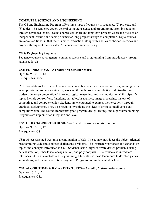## <span id="page-20-0"></span>**COMPUTER SCIENCE AND ENGINEERING**

The CS and Engineering Program offers three types of courses: (1) sequence, (2) projects, and (3) topics. The sequence covers general computer science and programming from introductory through advanced levels. Project courses center around long-term projects where the focus is on independent learning and seeing a semester-long project through to completion. Topic courses are more traditional in that there is more instruction, along with a series of shorter exercises and projects throughout the semester. All courses are semester long.

## **CS & Engineering Sequence**

Sequence courses cover general computer science and programming from introductory through advanced levels.

## **CS1: FOUNDATIONS—.5 credit; first-semester course**

Open to: 9, 10, 11, 12 Prerequisites: none

CS1: Foundations focuses on fundamental concepts in computer science and programming, with an emphasis on problem solving. By working through projects in robotics and visualization, students develop computational thinking, logical reasoning, and communication skills. Specific topics include control flow, functions, variables, lists/arrays, image processing, history of computing, and computer ethics. Students are encouraged to express their creativity through graphical assignments. They also begin to investigate the ideas of artificial intelligence and computer vision. The course emphasizes good program design, testing, and algorithmic thinking. Programs are implemented in Python and Java.

## **CS2: OBJECT-ORIENTED DESIGN—.5 credit; second-semester course**

Open to: 9, 10, 11, 12 Prerequisites: CS1

CS2: Object-Oriented Design is a continuation of CS1. The course introduces the object-oriented programming style and explores challenging problems. The instructor reinforces and expands on topics and concepts introduced in CS1. Students tackle larger software design problems, using data abstraction, inheritance, encapsulation, and polymorphism. The course also introduces interfaces, I/O, and event-driven programming. Students use these techniques to develop games, simulations, and data-visualization programs. Programs are implemented in Java.

## **CS3: ALGORITHMS & DATA STRUCTURES—.5 credit; first-semester course**

Open to: 10, 11, 12 Prerequisites: CS2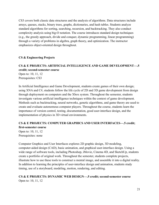CS3 covers both classic data structures and the analysis of algorithms. Data structures include arrays, queues, stacks, binary trees, graphs, dictionaries, and hash tables. Students analyze standard algorithms for sorting, searching, recursion, and backtracking. They also conduct complexity analysis using big-O notation. The course introduces standard design techniques (e.g., the greedy approach, divide and conquer, dynamic programming, linear programming) through a variety of problems in algebra, graph theory, and optimization. The instructor emphasizes object-oriented design throughout.

## **CS & Engineering Projects**

## **CS & E PROJECTS: ARTIFICIAL INTELLIGENCE AND GAME DEVELOPMENT—.5 credit; second-semester course**

Open to: 10, 11, 12 Prerequisites: CS3

In Artificial Intelligence and Game Development, students create games of their own design; using XNA and C#, students follow the life cycle of 2D and 3D game development from design through deployment on computers and the Xbox system. Throughout the semester, students investigate various artificial intelligence techniques within the context of game development. Methods such as backtracking, neural networks, genetic algorithms, and game theory are used to create and evaluate autonomous computer players. Throughout the course, students learn the importance of version control, testing, documentation, good user-interface design, and the implementation of physics in 3D virtual environments.

## **CS & E PROJECTS: COMPUTER GRAPHICS AND USER INTERFACES—.5 credit; first-semester course**

Open to: 10, 11, 12 Prerequisites: none

Computer Graphics and User Interfaces explores 2D graphic design, 3D modeling, computer-aided design (CAD), basic animation, and graphical user-interface design. Using a wide range of software tools, including Photoshop, iMovie, Cinema 4D, and SketchUp, students create a portfolio of original work. Throughout the semester, students complete projects, illustrate how to use these tools to construct a mental image, and assemble it into a digital reality. In addition to learning the principles of user-interface design and animation, students study timing, use of a storyboard, modeling, motion, rendering, and editing.

## **CS & E PROJECTS: DYNAMIC WEB DESIGN—.5 credit; second-semester course** Open to: 10, 11, 12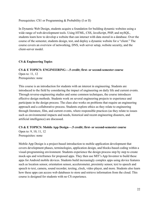Prerequisites: CS1 or Programming & Probability (I or II)

In Dynamic Web Design, students acquire a foundation for building dynamic websites using a wide range of web-development tools. Using HTML, CSS, JavaScript, PHP, and mySQL, students learn how to develop a website that can interact with data stored in a database. Over the course of the semester, students design, test, and deploy a dynamic website for a "client." The course covers an overview of networking, DNS, web server setup, website security, and the client-server model.

## **CS & Engineering Topics**

## **CS & E TOPICS: ENGINEERING—.5 credit; first- or second-semester course** Open to: 11, 12 Prerequisites: none

This course is an introduction for students with an interest in engineering. Students are introduced to the field by considering the impact of engineering on daily life and current events. Through reverse-engineering studies and some common techniques, the course introduces effective design methods. Students work on several engineering projects to experience and participate in the design process. The class also works on problems that require an engineering approach and a collaborative process. Students explore ethics as they relate to engineering through literature, film, and current events, where responsible practices (as they relate to issues such as environmental impacts and needs, historical and recent engineering disasters, and artificial intelligence) are discussed.

## **CS & E TOPICS: Mobile App Design—.5 credit; first- or second-semester course**

Open to: 9, 10, 11, 12 Prerequisites: none

Mobile App Design is a project-based introduction to mobile application development that covers development phases, terminologies, application design, and blocks-based coding within a visual-programming environment. Students experience the design process step by step to create mock-ups and wireframes for proposed apps. They then use MIT's App Inventor to build these apps for Android mobile devices. Students build increasingly complex apps using device features such as location sensor, orientation sensor, accelerometer, proximity sensor, text to speech and speech to text, camera, sound recorder, texting, clock, video player, and more. Students also learn how these apps can access web databases to store and retrieve information from the cloud. This course is designed for students with no CS experience.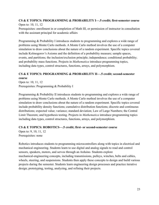## **CS & E TOPICS: PROGRAMMING & PROBABILITY I—.5 credit; first-semester course** Open to: 10, 11, 12

Prerequisites: enrollment in or completion of Math III, or permission of instructor in consultation with the assistant principal for academic affairs

Programming & Probability I introduces students to programming and explores a wide range of problems using Monte Carlo methods. A Monte Carlo method involves the use of a computer simulation to draw conclusions about the nature of a random experiment. Specific topics covered include Kolmogorov's Axioms and the definition of a probability measure; sample spaces, events, and partitions; the inclusion/exclusion principle; independence; conditional probability; and probability mass functions. Projects in *Mathematica* introduce programming topics, including data types, control structures, functions, arrays, and polymorphism.

## **CS & E TOPICS: PROGRAMMING & PROBABILITY II—.5 credit; second-semester course**

Open to: 10, 11, 12 Prerequisites: Programming & Probability I

Programming & Probability II introduces students to programming and explores a wide range of problems using Monte Carlo methods. A Monte Carlo method involves the use of a computer simulation to draw conclusions about the nature of a random experiment. Specific topics covered include probability density functions; cumulative distribution functions; discrete and continuous distributions; expected value; variance; standard deviation; Law of Large Numbers; the Central Limit Theorem; and hypothesis testing. Projects in *Mathematica* introduce programming topics including data types, control structures, functions, arrays, and polymorphism.

## **CS & E TOPICS: ROBOTICS—.5 credit; first- or second-semester course**

Open to: 9, 10, 11, 12 Prerequisites: none

Robotics introduces students to programming microcontrollers along with topics in electrical and mechanical engineering. Students learn to use digital and analog signals to read and control sensors, speakers, motors, and servos through an Arduino. Students explore mechanical-engineering concepts, including transmissions, pulleys, winches, belts and cables, wheels, steering, and suspensions. Students then apply these concepts to design and build various projects during the semester. Students learn engineering design processes and practice iterative design; prototyping, testing, analyzing, and refining their projects.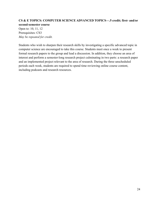## **CS & E TOPICS: COMPUTER SCIENCE ADVANCED TOPICS—.5 credit; first- and/or second-semester course**

Open to: 10, 11, 12 Prerequisites: CS3 *May be repeated for credit.*

Students who wish to sharpen their research skills by investigating a specific advanced topic in computer science are encouraged to take this course. Students meet once a week to present formal research papers to the group and lead a discussion. In addition, they choose an area of interest and perform a semester-long research project culminating in two parts: a research paper and an implemented project relevant to the area of research. During the three unscheduled periods each week, students are required to spend time reviewing online course content, including podcasts and research resources.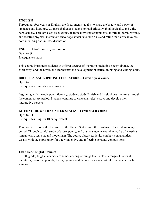## <span id="page-25-0"></span>**ENGLISH**

Throughout four years of English, the department's goal is to share the beauty and power of language and literature. Courses challenge students to read critically, think logically, and write persuasively. Through class discussions, analytical writing assignments, informal journal writing, and creative projects, instructors encourage students to take risks and refine their critical voices, both in writing and in class discussion.

## **ENGLISH 9—1 credit; year course**

Open to: 9 Prerequisites: none

This course introduces students to different genres of literature, including poetry, drama, the short story, and the novel, and emphasizes the development of critical thinking and writing skills.

## **BRITISH & ANGLOPHONE LITERATURE—1 credit; year course**

Open to: 10 Prerequisites: English 9 or equivalent

Beginning with the epic poem *Beowulf*, students study British and Anglophone literature through the contemporary period. Students continue to write analytical essays and develop their interpretive powers.

## **LITERATURE OF THE UNITED STATES—1 credit; year course**

Open to: 11 Prerequisites: English 10 or equivalent

This course explores the literature of the United States from the Puritans to the contemporary period. Through careful study of prose, poetry, and drama, students examine works of American romanticism, realism, and modernism. The course places particular emphasis on analytical essays, with the opportunity for a few inventive and reflective personal compositions.

## **12th Grade English Courses**

In 12th grade, English courses are semester-long offerings that explore a range of national literatures, historical periods, literary genres, and themes. Seniors must take one course each semester.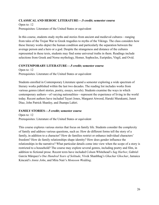## **CLASSICALAND HEROIC LITERATURE—.5 credit; semester course**

Open to: 12 Prerequisites: Literature of the United States or equivalent

In this course, students study myths and stories from ancient and medieval cultures—ranging from tales of the Trojan War to Greek tragedies to myths of the Vikings. The class considers how these literary works depict the human condition and particularly the separation between the average person and a hero or a god. Despite the strangeness and distance of the cultures represented in these texts, students may find some universal truths in them. Readings include selections from Greek and Norse mythology, Homer, Sophocles, Euripides, Virgil, and Ovid.

## **CONTEMPORARY LITERATURE—.5 credit; semester course**

Open to: 12 Prerequisites: Literature of the United States or equivalent

Students enrolled in Contemporary Literature spend a semester exploring a wide spectrum of literary works published within the last two decades. The reading list includes works from various genres (short stories, poetry, essays, novels). Students examine the ways in which contemporary authors—of varying nationalities—represent the experience of living in the world today. Recent authors have included Tayari Jones, Margaret Atwood, Haruki Murakami, Junot Diaz, John Patrick Shanley, and Jhumpa Lahiri.

## **FAMILY STORIES—.5 credit; semester course**

Open to: 12 Prerequisites: Literature of the United States or equivalent

This course explores various stories that focus on family life. Students consider the complexity of family and address various questions, such as: How do different forms tell the story of a family, in addition to a character? How do families restrict or enhance individual characters' freedom? How do family relationships shape identity? How does gender influence the relationships in the narrative? What particular details come into view when the scope of a story is restricted to a household? The course may explore several genres, including poetry and film, in addition to fictional prose. Recent texts have included Colson Whitehead's *Sag Harbor*, Gabriel García Márquez's *One Hundred Years of Solitude*, Vivek Shanbhag's *Ghachar Ghochar*, Jamaica Kincaid's *Annie John*, and Mira Nair's *Monsoon Wedding*.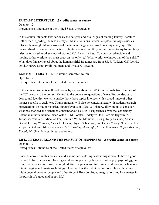## **FANTASY LITERATURE—.5 credit; semester course**

Open to: 12 Prerequisites: Literature of the United States or equivalent

In this course, students take seriously the delights and challenges of reading fantasy literature. Rather than regarding them as merely childish diversions, students explore fantasy stories as intricately wrought literary works of the human imagination, worth reading at any age. The course also delves into the attraction to fantasy as readers: Why are we drawn to myths and fairy tales, as opposed to other kinds of stories? C.S. Lewis writes, "To construct plausible and moving (other worlds) you must draw on the only real 'other world' we know, that of the spirit." What does fantasy reveal about the human spirit? Readings are from J.R.R. Tolkien, C.S. Lewis, Ovid, Andrew Lang, Philip Pullman, and Ursula K. LeGuin.

## **LGBTQ+ LITERATURE—.5 credit; semester course**

Open to: 12 Prerequisites: Literature of the United States or equivalent

In this course, students will read works by and/or about LGBTQ+ individuals from the turn of the  $20<sup>th</sup>$  century to the present. Central to the course are questions of sexuality, gender, sex, desire, and identity; we will consider how these topics intersect with a broad range of other themes specific to each text. Course material will also be contextualized with student research presentations on major historical figures/events in LGBTQ+ history, allowing us to consider what has changed and remained constant about LGBTQ+ experiences over the last century. Potential authors include Oscar Wilde, E.M. Forster, Radclyffe Hall, Patricia Highsmith, Tennessee Williams, Alice Walker, Edmund White, Monique Truong, Tony Kushner, Alison Bechdel, Craig Womack, Akwaeke Emezi, Shyam Selvadurai, and Ocean Vuong. Novels will be supplemented with films such as *Paris is Burning*, *Moonlight, Carol, Tangerine, Happy Together, Pariah, My Own Private Idaho*, and others.

## **LIFE, LITERATURE, AND THE PURSUIT OF HAPPINESS—.5 credit; semester course**

Open to: 12

Prerequisites: Literature of the United States or equivalent

Students enrolled in this course spend a semester exploring what it might mean to have a good life and to find happiness. Drawing on literature primarily, but also philosophy, psychology, and film, students examine how one might define happiness and fulfillment and how and where one might imagine and create such things. How much is the individual responsible and how much might depend on other people and other forces? How do virtue, imagination, and love matter in the pursuit of a good and happy life?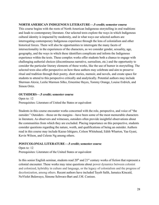## **NORTH AMERICAN INDIGENOUS LITERATURE—.5 credit; semester course**

This course begins with the roots of North American Indigenous storytelling in oral traditions and leads to contemporary literature. Our selected texts explore the ways in which Indigenous cultural identity is impacted by modernity, and in what ways our selected authors are interrogating contemporary Indigenous experience through the lens of colonialism and other historical forces. There will also be opportunities to interrogate the many facets of intersectionality in the experiences of the characters, as we consider gender, sexuality, age, geography, and the ways in which these identifiers complicate and inform the Indigenous experience within the texts. These complex works offer students both a chance to engage with challenging authorial choices (discontinuous narrative, surrealism, etc.) and the opportunity to consider the particular literary elements of these works, like the use of humor in storytelling. The selected texts also offer perspective on how these authors may celebrate and aim to preserve ritual and tradition through their poetry, short stories, memoir, and novels, and create space for students to attend to this perspective critically and analytically. Potential authors may include Sherman Alexie, Leslie Marmon Silko, Ernestine Hayes, Tommy Orange, Louise Erdrich, and Simon Ortiz.

## **OUTSIDERS—.5 credit; semester course**

Open to: 12 Prerequisites: Literature of United the States or equivalent

Students in this course encounter works concerned with the role, perspective, and voice of "the outsider." Outsiders—those on the margins—have been some of the most memorable characters in literature. As observers and witnesses, outsiders often provide insightful observations about the communities from which they are excluded. Placing importance on this perspective, students consider questions regarding the nature, worth, and qualifications of being an outsider. Authors read in this course may include Kazuo Ishiguro, Colson Whitehead, Edith Wharton, Yaa Gyasi, Kevin Wilson, and Celeste Ng among others.

## **POSTCOLONIAL LITERATURE—.5 credit; semester course**

Open to: 12 Prerequisites: Literature of the United States or equivalent

In this senior English seminar, students read  $20<sup>th</sup>$  and  $21<sup>st</sup>$  century works of fiction that represent a colonial encounter. These works may raise questions about power dynamics between colonist and colonized, hybridity in culture and language, or the legacy of colonialism and the progress of decolonization, among others. Recent authors have included Tayeb Salih, Jamaica Kincaid, NoViolet Bulawayo, Simone Schwarz-Bart and J.M. Coetzee.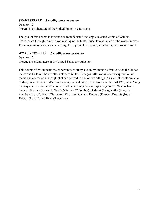## **SHAKESPEARE—.5 credit; semester course**

Open to: 12 Prerequisite: Literature of the United States or equivalent

The goal of this course is for students to understand and enjoy selected works of William Shakespeare through careful close reading of the texts. Students read much of the works in class. The course involves analytical writing, tests, journal work, and, sometimes, performance work.

## **WORLD NOVELLA—.5 credit; semester course**

Open to: 12 Prerequisites: Literature of the United States or equivalent

This course offers students the opportunity to study and enjoy literature from outside the United States and Britain. The novella, a story of 60 to 100 pages, offers an intensive exploration of theme and character at a length that can be read in one or two sittings. As such, students are able to study nine of the world's most meaningful and widely read stories of the past 125 years. Along the way students further develop and refine writing skills and speaking voices. Writers have included Fuentes (Mexico), García Márquez (Colombia), Hedayat (Iran), Kafka (Prague), Mahfouz (Egypt), Mann (Germany), Okuizumi (Japan), Rostand (France), Rushdie (India), Tolstoy (Russia), and Head (Botswana).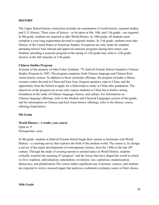#### **HISTORY**

The Upper School history curriculum includes an examination of world history, regional studies, and U.S. History. Three years of history—to be taken in 9th, 10th, and 11th grade—are required. In 9th grade, students are required to take World History. In 10th-grade, all students must complete a year-long requirement devoted to regional studies. In 11th grade, students must take History of the United States or American Studies. Exceptions are only made for students attending School Year Abroad and approved semester programs during their senior year. Students attending a semester program in the spring of 11th grade may select a 12th grade elective in the fall semester of 11th grade.

#### **Chinese Studies Program**

In honor of the memory of John Fisher Zeidman '79, Sidwell Friends School founded a Chinese Studies Program in 1983. The program comprises both Chinese-language and Chinese/East Asian history courses. In addition to these curricular offerings, the program includes a library resource center devoted to China and East Asia, frequent speakers, trips to China, and the opportunity from the School to apply for a fellowship to study in China after graduation. The objectives of the program are to not only expose students to China but to build a strong foundation in the study of Chinese language, history, and culture. For information on Chinese-language offerings, refer to the Modern and Classical Languages section of this guide, and for information on Chinese and East Asian history offerings, refer to the History course offerings listed below.

#### **9th Grade**

#### **World History—l credit; year course**

Open to: 9 Prerequisites: none

In 9th grade, students at Sidwell Friends School begin their careers as historians with World History—a yearlong survey that explores the birth of the modern world. The course is, by design, a survey of the major developments of contemporary history, from the  $1500s$  to the late  $20<sup>th</sup>$ century. Through the study of existing narratives around topics in World History, students critically examine the meaning of "progress" and the forces that have shaped the world in which we live: tradition, individualism, nationalism, revolution, war, capitalism, modernization, democracy, and globalization.The course makes significant use of primary sources, and students are expected to write a research paper that analyzes a substantive primary source of their choice.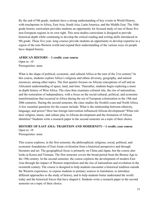By the end of 9th grade, students have a strong understanding of key events in World History, with touchpoints in Africa, East Asia, South Asia, Latin America, and the Middle East. The 10thgrade history curriculum provides students an opportunity for focused study of one of those five non-European regions in its own right. This area-studies curriculum is designed to provide historical depth while continuing to develop the critical reading and writing skills introduced in 9th grade. These five year- long courses provide students an opportunity to develop expertise in a region of the non-Western world and expand their understanding of the various ways its people have shaped history.

#### **AFRICAN HISTORY**—**1 credit; year course**

Open to: 10 Prerequisites: none

What is the shape of political, economic, and cultural Africa at the turn of the 21st century? In this course, students explore Africa's religious and ethnic diversity, geography, and natural resources, among other topics. The first quarter focuses on African conceptions of self and an Africanist understanding of space, land, and time. Thereafter, students begin exploring a more in-depth history of West Africa. The class then examines colonial rule, the rise of nationalism, and the restoration of independence, with a focus on the social-cultural, political, and economic transformations that occurred in Africa during the era of European colonization in the 19th and 20th centuries. During the second semester, the class studies the Swahili coast and North Africa. A few essential questions for the course include: What is the relationship between ethnicity, language, and power? How has foreign intervention influenced African development? What role does religion, music, and culture play in African development and the formation of African identities? Students write a research paper in the second semester on a topic of their choice.

#### **HISTORY OF EAST ASIA: TRADITION AND MODERNITY—1 credit; year course**

Open to: 10 Prerequisites: none

This course explores, in the first semester, the philosophical, religious, social, political, and economic foundations of East Asian civilization from a historical perspective and through literature and art. The geographical focus is primarily on China and Japan, but the course also looks at Korea and Vietnam. The first semester covers the broad period from the Bronze Age to the 19th century. In the second semester, the course explores the development of modern East Asia through the impact of Western imperialism and the rise of nationalism and revolution in the twentieth century. The course is designed to help students encounter a historical tradition outside the Western experience, to expose students to primary sources in translation, to introduce different approaches to the study of history, and to help students better understand the world today and the historical forces that have shaped it. Students write a research paper in the second semester on a topic of their choice.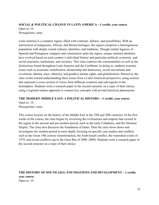## **SOCIAL & POLITICAL CHANGE IN LATIN AMERICA—1 credit; year course**

Open to: 10 Prerequisites: none

Latin America is a complex region, filled with contrasts, failures, and possibilities. With an intersection of indigenous, African, and Iberian heritages, the region comprises a heterogeneous population with deeply rooted cultures, identities, and traditions. Though similar legacies of Spanish and Portuguese conquest and colonization unite the region, unique national identities have evolved based on each country's individual history and particular political, economic, and social structures, institutions, and societies. This class explores the commonalities as well as the distinctions found throughout Latin America and the Caribbean. In doing so, students examine issues such as economic stratification, dictatorship and democracy, social movements and revolution, identity (race, ethnicity, and gender), human rights, and globalization. Moreover, the class works toward understanding these issues from a Latin American perspective, using sources that represent a cross-section of voices from different countries and sub-regions in the hemisphere. Students write a research paper in the second semester on a topic of their choice, using a regional studies approach to connect key concepts with pivotal historical phenomena.

## **THE MODERN MIDDLE EAST: A POLITICAL HISTORY—1 credit; year course**

Open to: 10 Prerequisites: none

This course focuses on the history of the Middle East in the 19th and 20th centuries. In the first weeks of the course, the class begins by reviewing the civilizations and empires that existed in the region in the ancient and pre-modern period, such as the early Caliphates, and the Ottoman Empire. The class also discusses the foundation of Islam. Then the class slows down and investigates the modern period in more depth, focusing on specific case studies and conflicts such as the Great 19th century transformation, the Arab-Israeli conflict, the watershed events of 1979, and recent conflicts (up to the Gaza War of 2008–2009). Students write a research paper in the second semester on a topic of their choice.

## **THE HISTORY OF SOUTH ASIA: FOUNDATIONS AND DEVELOPMENT—1 credit; year course** Open to: 10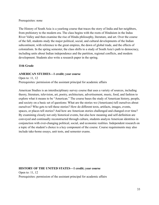#### Prerequisites: none

The History of South Asia is a yearlong course that traces the story of India and her neighbors, from prehistory to the modern era. The class begins with the roots of Hinduism in the Indus River Valley and then examine the rise of Hindu philosophy, literature, and art. Over the course of the fall, students study the major political, social, and cultural developments of the Indian subcontinent, with reference to the great empires, the dawn of global trade, and the effects of colonialism. In the spring semester, the class shifts to a study of South Asia's path to democracy, including units about Indian independence and the partition, regional conflicts, and modern development. Students also write a research paper in the spring.

## **11th Grade**

## **AMERICAN STUDIES—1 credit; year course**

Open to: 11, 12 Prerequisites: permission of the assistant principal for academic affairs

American Studies is an interdisciplinary survey course that uses a variety of sources, including theory, literature, television, art, poetry, architecture, advertisement, music, food, and fashion to explore what it means to be "American." The course bases the study of American history, people, and society on a basic set of questions: What are the stories we (Americans) tell ourselves about ourselves? Who gets to tell these stories? How do different texts, artifacts, images, events, spaces, or places tell stories? And how are American stories challenged and changed over time? By examining closely not only historical events, but also how meaning and self-definition are conveyed and continually reconstructed through culture, students analyze American identities in conjunction with ever-changing political, social, and economic realities. Independent research on a topic of the student's choice is a key component of the course. Course requirements may also include take-home essays, unit tests, and semester exams.

## **HISTORY OF THE UNITED STATES—1 credit; year course** Open to: 11, 12 Prerequisites: permission of the assistant principal for academic affairs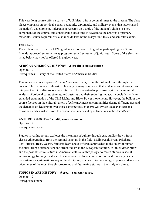This year-long course offers a survey of U.S. history from colonial times to the present. The class places emphasis on political, social, economic, diplomatic, and military events that have shaped the nation's development. Independent research on a topic of the student's choice is a key component of the course, and considerable class time is devoted to the analysis of primary materials. Course requirements also include take-home essays, unit tests, and semester exams.

## **12th Grade**

These classes are open to all 12th graders and to those 11th graders participating in a Sidwell Friends–approved semester-away program second semester of junior year. Some of the electives listed below may not be offered in a given year.

## **AFRICAN AMERICAN HISTORY—.5 credit; semester course**

Open to: 12 Prerequisites: History of the United States or American Studies

This senior seminar explores African American History from the colonial times through the present. The readings are almost exclusively primary sources so that students can interrogate and interpret them in a discussion-based format. This semester-long course begins with an initial analysis of colonial cases, statutes, and customs and their enduring impact; it concludes with an extended examination of the Civil Rights and Black Power movements. However, the bulk of the course focuses on the cultural variety of African American communities during different eras and the demands on leadership over those same periods. Students will write in-class and traditional essays and lead class discussions to deepen their understanding of Black lives in the United States. .

## **ANTHROPOLOGY—.5 credit; semester course**

Open to: 12 Prerequisites: none

Studies in Anthropology explores the meanings of culture through case studies drawn from classic ethnographies from the seminal scholars in the field: Malinowski, Evans-Pritchard, Levi-Strauss, Boas, Geertz. Students learn about different approaches to the study of human societies, from functionalism and structuralism in the European tradition, to "thick description" and the post-structuralist turn in American cultural anthropology, to recent studies in social anthropology framing local societies in a broader global context of political economy. Rather than attempt a systematic survey of the discipline, Studies in Anthropology exposes students to a wide range of the most thought-provoking and fascinating stories in the study of culture.

## **TOPICS IN ART HISTORY—.5 credit; semester course**

Open to: 12 Prerequisites: none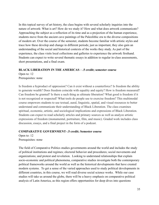In this topical survey of art history, the class begins with several scholarly inquiries into the nature of artwork: What is art? How do we study it? How and what does artwork communicate? Approaching the subject as a reflection of its time and as a projection of the human experience, students move from the ancient cave paintings of the Paleolithic era to the diverse compositions of modern art. Over the course of the semester, students become familiar with artistic styles and trace how these develop and change in different periods; just as important, they also gain an understanding of the social and historical contexts of the works they study. As part of the experience, the class visits local collections and galleries to experience the artwork firsthand. Students can expect to write several thematic essays in addition to regular in-class assessments, short presentations, and a final exam.

## **BLACK LIBERATION IN THE AMERICAS**—**.5 credit; semester course**

Open to: 12 Prerequisites: none

Is freedom a byproduct of oppression? Can it exist without a counterforce? Is freedom the ability to generate wealth? Does freedom coincide with equality and equity? How is freedom measured? Can freedom be granted? Is there a such thing as ultimate liberation? What good is freedom if it is not recognized or respected? What tools do people use to exercise freedom? This multimodal course empowers students to use textual, aural, linguistic, spatial, and visual resources to better understand and communicate their understanding of Black Liberation. The class examines spiritual, economic, artistic, and sociological implications and expressions of Black Liberation. Students can expect to read scholarly articles and primary sources as well as analyze artistic expressions of freedom (monumental, portraiture, film, and music). Graded work includes class discussion, essays, and a final project in the form of a podcast.

## **COMPARATIVE GOVERNMENT–.5 credit; Semester course**

Open to: 12 Prerequisites: none

The field of Comparative Politics studies governments around the world and includes the study of political institutions and regimes; electoral behavior and procedures; social movements and organizations; and protest and revolution. Looking to understand relationships that explain socio-economic and political phenomena, comparative studies investigate both the contemporary political frameworks around the world as well as the historical developments that have created modern systems. To get a sense of the varied approaches used to study political developments in different countries, in this course, we will read diverse social science works. While our case studies will take us around the globe, there will be a heavy emphasis on comparative political analysis of Latin America, as this region offers opportunities for deep dives into questions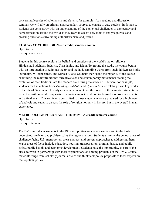concerning legacies of colonialism and slavery, for example. As a reading and discussion seminar, we will rely on primary and secondary sources to engage in case studies. In doing so, students can come away with an understanding of the contextual challenges to democracy and democratization around the world as they learn to access new tools to analyze puzzles and pressing questions surrounding authoritarianism and justice.

## **COMPARATIVE RELIGION—.5 credit; semester course**

Open to: 12 Prerequisites: none

Students in this course explore the beliefs and practices of the world's major religions: Hinduism, Buddhism, Judaism, Christianity, and Islam. To ground the study, the course begins with an introduction to religious theory and method, sampling works from such thinkers as Emile Durkheim, William James, and Mircea Eliade. Students then spend the majority of the course examining the major traditions' formative texts and contemporary movements, tracing the evolution of each tradition into the modern era. During the study of Hinduism, for example, students read selections from *The Bhagavad-Gita* and *Upanisads*, later relating these key works to the life of Gandhi and his satyagraha movement. Over the course of the semester, students can expect to write several comparative thematic essays in addition to focused in-class assessments and a final exam. This seminar is best suited to those students who are prepared for a high level of analysis and eager to discuss the role of religion not only in history, but in the overall human experience.

## **METROPOLITAN POLICY AND THE DMV—.5 credit; semester course**

Open to: 12 Prerequisite: none

The DMV introduces students to the DC metropolitan area where we live and to the tools to understand, analyze, and problem-solve the region's issues. Students examine the central areas of challenge facing U.S. metropolitan areas and past and present approaches to addressing them. Major areas of focus include education, housing, transportation, criminal justice and public safety, public health, and economic development. Students have the opportunity, as part of the class, to work in partnership with local organizations on solving problems in the DMV. Course materials range from scholarly journal articles and think tank policy proposals to local experts on metropolitan policy.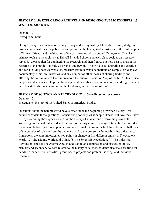## **HISTORY LAB: EXPLORING ARCHIVES AND DESIGNING PUBLIC EXHIBITS—.5 credit; semester course**

Open to: 12 Prerequisite: none

Doing History is a course about doing history and telling history. Students research, study, and produce local histories for public consumption (public history)—the histories of the past peoples of Sidwell Friends and the histories of the past peoples who occupied Tenleytown. The class's primary tools are the archives at Sidwell Friends School, and each class decides on a research topic, develops a plan for conducting the research, and then figures out how best to present the research to the public—at Sidwell Friends and beyond. The work is collaborative and creative, and can include podcasts, websites, museum exhibits, wayside markers on campus, art displays, documentary films, oral histories, and any number of other means of sharing findings and allowing the community to learn more about the micro-histories on "top of the hill." This course deepens students' research, project-management, analytical, communication, and design skills; it enriches students' understanding of the local area; and it is a ton of fun!

## **HISTORY OF SCIENCE AND TECHNOLOGY—.5 credit; semester course**

Open to: 12 Prerequisite: History of the United States or American Studies

Questions about the natural world have existed since the beginning of written history. This course considers those questions—considering not only what people "knew" but *how* they knew it—by examining the major moments in the history of science and determining how both knowledge of the natural world and methods of inquiry come to change. Students also consider the tension between technical practice and intellectual theorizing, which have been the hallmark of the practice of science from the ancient world to the present. After establishing a theoretical framework, the class investigates key points of change in five different units: (1) The Ancient World, (2) The Islamic World and China, (3) The Scientific Revolution, (4) The Industrial Revolution, and (5) The Atomic Age. In addition to an examination and discussion of key primary and secondary sources related to the history of science, students also use class time for hands-on, experiential activities; group-based projects and problem-solving; and individual research.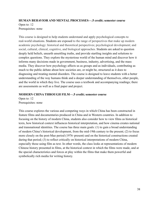## **HUMAN BEHAVIOR AND MENTAL PROCESSES—.5 credit; semester course** Open to: 12 Prerequisites: none

This course is designed to help students understand and apply psychological concepts to real-world situations. Students are exposed to the range of perspectives that make up modern academic psychology: historical and theoretical perspectives; psychological development; and social, cultural, clinical, cognitive, and biological approaches. Students are asked to question deeply held beliefs, unearth unsettling truths, and provide startling insights and solutions to complex questions. They explore the mysterious world of the human mind and discover how it informs many decisions made in government, business, industry, advertising, and the mass media. They discover how psychology affects us as groups and as individuals, contributing as much to the public debate about how societies are, or might be, structured as it does to diagnosing and treating mental disorders. The course is designed to leave students with a better understanding of the way humans think and a deeper understanding of themselves, other people, and the world in which they live. The course uses a textbook and accompanying readings; there are assessments as well as a final paper and project.

## **MODERN CHINA THROUGH FILM—.5 credit; semester course**

Open to: 12 Prerequisites: none

This course explores the various and competing ways in which China has been constructed in feature films and documentaries produced in China and in Western countries. In addition to focusing on the history of modern China, students also consider how to view films as historical texts, how historical context influences historical interpretation, and how cinema creates national and transnational identities. The course has three main goals: (1) to gain a broad understanding of modern China's historical development, from the mid-19th century to the present; (2) to focus more closely on the post-Mao period (1976–present) and on the historical constructions created during that period; (3) to reflect critically on historical interpretations of modern China, especially those using film as text. In other words, the class looks at representations of modern Chinese history presented in films, at the historical context in which the films were made, and at the special characteristics and forces at play within the films that make them powerful and symbolically rich media for writing history.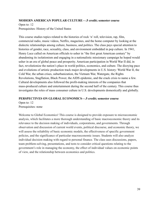#### **MODERN AMERICAN POPULAR CULTURE—.5 credit; semester course**

Open to: 12 Prerequisites: History of the United States

This course studies topics related to the histories of rock 'n' roll, television, rap, film, commercial radio, music videos, Netflix, magazines, and the home computer by looking at the dialectic relationships among culture, business, and politics. The class pays special attention to histories of gender, race, sexuality, class, and environment embedded in pop culture. In 1941, Henry Luce called on American officials to usher in "the first great American century" by abandoning its isolationism and engaging in a nationalistic missionary campaign he hoped would usher in an era of global peace and prosperity. American participation in World War II did, in fact, revolutionize the nation's place in world politics, economics, and culture. The dizzying pace and evolutions of artistic production track major developments in U.S. history: World War II, the Cold War, the urban crises, suburbanization, the Vietnam War, Watergate, the Rights Revolutions, Stagflation, Black Power, the AIDS epidemic, and the crack crisis to name a few. Cultural developments also followed the profit-making interests of the companies that mass-produced culture and entertainment during the second half of the century. This course thus investigates the roles of mass consumer culture in U.S. developments domestically and globally.

#### **PERSPECTIVES ON GLOBAL ECONOMICS—.5 credit; semester course**

Open to: 12 Prerequisites: none

Welcome to Global Economics! This course is designed to provide exposure to microeconomic analysis, which facilitates a more thorough understanding of basic macroeconomic theory and its relevance to the decision making of individuals, corporations, and governments. Through observation and discussion of current world events, political discourse, and economic theory, we will assess the reliability of basic economic models, the effectiveness of specific government policies, and the significance of particular macroeconomic issues. Students will also analyze individual decision making with regard to personal finance. The class uses discussions, papers, team problem-solving, presentations, and tests to consider critical questions relating to the government's role in managing the economy, the effect of individual values on economic points of view, and the relationship between economics and politics.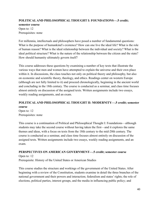## **POLITICAL AND PHILOSOPHICAL THOUGHT I: FOUNDATIONS—.5 credit; semester course** Open to: 12

Prerequisites: none

For millennia, intellectuals and philosophers have posed a number of fundamental questions: What is the purpose of humankind's existence? How can one live the ideal life? What is the role of human reason? What is the ideal relationship between the individual and society? What is the ideal political structure? What is the nature of the relationship between the citizen and the state? How should humanity ultimately govern itself?

This course addresses these questions by examining a number of key texts that illustrate the various ways that men and women have attempted to explain the universe and their own place within it. In discussions, the class touches not only on political theory and philosophy, but also on economic and scientific theory, theology, and ethics. Readings center on western Europe (although are not fully limited to it) and proceed chronologically, beginning in the ancient world and concluding in the 18th century. The course is conducted as a seminar, and class time focuses almost entirely on discussion of the assigned texts. Written assignments include two essays, weekly reading assignments, and an exam.

## **POLITICAL AND PHILOSOPHICAL THOUGHT II: MODERNITY—.5 credit; semester course**

Open to: 12 Prerequisites: none

This course is a continuation of Political and Philosophical Thought I: Foundations—although students may take the second course without having taken the first—and it explores the same themes and ideas, with a focus on texts from the 18th century to the mid-20th century. The course is conducted as a seminar, and class time focuses almost entirely on discussion of the assigned texts. Written assignments include two essays, weekly reading assignments, and an exam.

## **PERSPECTIVES ON AMERICAN GOVERNMENT—.5 credit; semester course**

Open to: 12 Prerequisite: History of the United States or American Studies

This course studies the structure and workings of the government of the United States. After beginning with a review of the Constitution, students examine in detail the three branches of the national government and their powers and interaction; federalism and states' rights; the role of elections, political parties, interest groups, and the media in influencing public policy; and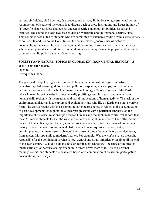various civil rights, civil liberties, due process, and privacy limitations on governmental action. An important objective of the course is to discuss each of these institutions and issues in light of: (1) specific historical ideas and events; and (2) specific contemporary political issues and disputes. The course includes two case studies on Watergate and the "national security state." This course is best suited to students who are committed to extensive reading from a wide variety of sources. In addition to the Constitution, the course makes generous use of historical documents, speeches, public reports, and judicial decisions, as well as more recent articles by scholars and journalists. In addition to several take-home essays, students prepare and present a paper on a public-policy dispute of their choosing.

## **SOCIETY AND NATURE: TOPICS IN GLOBAL ENVIRONMENTAL HISTORY—.5 credit; semester course**

Open to: 12 Prerequisites: none

The personal computer, high-speed internet, the internal combustion engine, industrial capitalism, global warming, deforestation, pollution, airplanes, spaceships, lasers. Humanity currently lives in a world in which human-made technology affects all corners of the Earth, where human footprints exist in almost equally prolific geographic reach, and where many humans daily reckon with the material and moral implications of human activity. The task of the environmental historian is to explore and explain how and why life on Earth exists in its current form. The course begins with the assumption that modern society is related to the accumulation of past developments (though not in a linear progression) with a particular emphasis on the importance of historical relationships between humans and the nonhuman world. What does that mean? It means students look at the ways ecosystems and nonhuman species have affected the course of human history and the ways human societies have affected the course of nonhuman history. In other words, Environmental History asks how mosquitoes, disease, water, trees, vermin, predators, climate, terrain changed the course of global human history and vice versa, from ancient Mesopotamia to modern America. For example: Was the *Aedes aegypti* mosquito responsible for the domination of what is now Central and South America by Spain until the end of the 18th century? Why did humans develop fossil-fuel technology—because of the species' innate curiosity, or because ecologic/economic forces drove them to it? This is a seminar readings course, and students are evaluated based on a combination of classroom participation, presentations, and essays.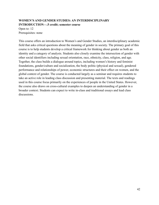## **WOMEN'S AND GENDER STUDIES: AN INTERDISCIPLINARY INTRODUCTION—.5 credit; semester course**

Open to: 12 Prerequisites: none

This course offers an introduction to Women's and Gender Studies, an interdisciplinary academic field that asks critical questions about the meaning of gender in society. The primary goal of this course is to help students develop a critical framework for thinking about gender as both an identity and a category of analysis. Students also closely examine the intersection of gender with other social identifiers including sexual orientation, race, ethnicity, class, religion, and age. Together, the class builds a dialogue around topics, including women's history and feminist foundations, gender/culture and socialization, the body politic (physical and sexual), gendered performance and relationships of power, economic structures and their effect on women, and the global context of gender. The course is conducted largely as a seminar and requires students to take an active role in leading class discussion and presenting material. The texts and readings used in this course focus primarily on the experiences of people in the United States. However, the course also draws on cross-cultural examples to deepen an understanding of gender in a broader context. Students can expect to write in-class and traditional essays and lead class discussions.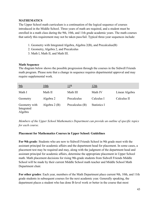## **MATHEMATICS**

The Upper School math curriculum is a continuation of the logical sequence of courses introduced in the Middle School. Three years of math are required, and a student must be enrolled in a math class during the 9th, 10th, and 11th grade academic years. The math courses that satisfy this requirement may not be taken pass/fail. Typical three-year sequences include:

- 1. Geometry with Integrated Algebra, Algebra 2(B), and Precalculus(B)
- 2. Geometry, Algebra 2, and Precalculus
- 3. Math I, Math II, and Math III.

#### **Math Sequence**

The diagram below shows the possible progression through the courses in the Sidwell Friends math program. Please note that a change in sequence requires departmental approval and may require supplemental work.

| 9th                                    | <u>10th</u>    | 11 <sup>th</sup> | <u> 12th</u> |                |
|----------------------------------------|----------------|------------------|--------------|----------------|
| Math I                                 | Math II        | Math III         | Math IV      | Linear Algebra |
| Geometry                               | Algebra 2      | Precalculus      | Calculus I   | Calculus II    |
| Geometry with<br>Integrated<br>Algebra | Algebra $2(B)$ | Precalculus (B)  | Statistics I |                |

*Members of the Upper School Mathematics Department can provide an outline of specific topics for each course.*

## **Placement for Mathematics Courses in Upper School: Guidelines**

**For 9th grade**: Students who are new to Sidwell Friends School in 9th grade meet with the assistant principal for academic affairs and the department head for placement. In some cases, a placement test may be required and may, along with the judgment of the department head and assistant principal for academic affairs, determine the appropriate placement in Upper School math. Math placement decisions for rising 9th-grade students from Sidwell Friends Middle School will be made by their current Middle School math teacher and Middle School Math Department chair.

**For other grades**: Each year, members of the Math Department place current 9th, 10th, and 11th grade students in subsequent courses for the next academic year. Generally speaking, the department places a student who has done B-level work or better in the course that most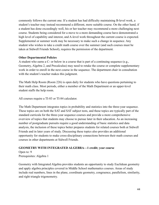commonly follows the current one. If a student has had difficulty maintaining B-level work, a student's teacher may instead recommend a different, more suitable course. On the other hand, if a student has done exceedingly well, his or her teacher may recommend a more challenging next course. Students being considered for a move to a more demanding course have demonstrated a high level of capability and interest, and A-level work throughout the current course is expected. Supplemental or summer work may be necessary to make such a change in sequence. Any student who wishes to take a credit math course over the summer (and such courses must be taken at Sidwell Friends School), requires the permission of the department.

## **Other Departmental Policies**

A student who earns a C- or below in a course that is part of a continuing sequence (e.g., Geometry, Algebra 2, and Precalculus) may need to retake the course or complete supplementary work in order to enroll in the next course in the sequence. The department chair in consultation with the student's teacher makes this judgment.

The Math Help Room (Room 226) is open daily for students who have questions pertaining to their math class. Most periods, either a member of the Math Department or an upper-level student staffs the help room.

All courses require a TI-83 or TI-84 calculator.

The Math Department integrates topics in probability and statistics into the three-year sequence. These topics are on both the SAT and SAT subject tests, and these topics are typically part of the standard curricula for the three-year sequence courses and provide a more comprehensive overview of topics that students may choose to pursue later in their education. As an increasing number of postgraduate pursuits require a good understanding of basic statistics and data analysis, the inclusion of these topics better prepares students for related courses both at Sidwell Friends and in later years of study. Discussing these topics also provides an additional opportunity for students to make cross-disciplinary connections between their math courses and courses in other departments at Sidwell Friends.

## **GEOMETRY WITH INTEGRATED ALGEBRA—1 credit; year course**

Open to: 9 Prerequisites: Algebra 1

Geometry with Integrated Algebra provides students an opportunity to study Euclidean geometry and apply algebra principles covered in Middle School mathematics courses. Areas of study include real numbers, lines in the plane, coordinate geometry, congruence, parallelism, similarity, and right triangle trigonometry.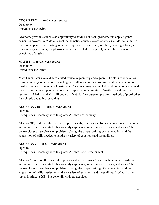## **GEOMETRY—1 credit; year course**

Open to: 9 Prerequisites: Algebra 1

Geometry provides students an opportunity to study Euclidean geometry and apply algebra principles covered in Middle School mathematics courses. Areas of study include real numbers, lines in the plane, coordinate geometry, congruence, parallelism, similarity, and right triangle trigonometry. Geometry emphasizes the writing of deductive proof, versus the review of principles of algebra.

## **MATH I—1 credit; year course**

Open to: 9 Prerequisites: Algebra 1

Math I is an intensive and accelerated course in geometry and algebra. The class covers topics from the other geometry courses with greater attention to rigorous proof and the deduction of results from a small number of postulates. The course may also include additional topics beyond the scope of the other geometry courses. Emphasis on the writing of mathematical proof, as required in Math II and Math III begins in Math I. The course emphasizes methods of proof other than simple deductive reasoning.

## **ALGEBRA 2 (B)—1 credit; year course**

Open to: 10 Prerequisites: Geometry with Integrated Algebra or Geometry

Algebra 2(B) builds on the material of previous algebra courses. Topics include linear, quadratic, and rational functions. Students also study exponents, logarithms, sequences, and series. The course places an emphasis on problem-solving, the proper writing of mathematics, and the acquisition of skills needed to handle a variety of equations and inequalities.

## **ALGEBRA 2—1 credit; year course**

Open to: 10 Prerequisites: Geometry with Integrated Algebra, Geometry, or Math I

Algebra 2 builds on the material of previous algebra courses. Topics include linear, quadratic, and rational functions. Students also study exponents, logarithms, sequences, and series. The course places an emphasis on problem-solving, the proper writing of mathematics, and the acquisition of skills needed to handle a variety of equations and inequalities. Algebra 2 covers topics in Algebra 2(B), but generally with greater rigor.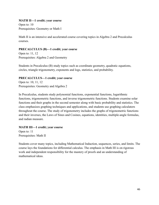## **MATH II—1 credit; year course**

Open to: 10 Prerequisites: Geometry or Math I

Math II is an intensive and accelerated course covering topics in Algebra 2 and Precalculus courses.

## **PRECALCULUS (B)—1 credit; year course**

Open to: 11, 12 Prerequisites: Algebra 2 and Geometry

Students in Precalculus (B) study topics such as coordinate geometry, quadratic equations, circles, triangle trigonometry, exponents and logs, statistics, and probability.

## **PRECALCULUS—1 credit; year course**

Open to: 10, 11, 12 Prerequisites: Geometry and Algebra 2

In Precalculus, students study polynomial functions, exponential functions, logarithmic functions, trigonometric functions, and inverse trigonometric functions. Students examine solar functions and their graphs in the second semester along with basic probability and statistics. The class emphasizes graphing techniques and applications, and students use graphing calculators throughout the course. The study of trigonometry includes the graphs of trigonometric functions and their inverses, the Laws of Sines and Cosines, equations, identities, multiple-angle formulas, and radian measure.

## **MATH III—1 credit; year course**

Open to: 11 Prerequisites: Math II

Students cover many topics, including Mathematical Induction, sequences, series, and limits. The course lays the foundations for differential calculus. The emphasis in Math III is on rigorous work and independent responsibility for the mastery of proofs and an understanding of mathematical ideas.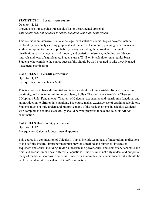## **STATISTICS I —1 credit; year course**

Open to: 11, 12 Prerequisites: Precalculus, Precalculus(B), or departmental approval *This course may not be taken to satisfy the three-year math requirement.*

This course is an intensive first-year college-level statistics course. Topics covered include: exploratory data analysis using graphical and numerical techniques; planning experiments and studies; sampling techniques; probability theory, including the normal and binomial distributions; producing statistical models; and statistical inference, including confidence intervals and tests of significance. Students use a TI-83 or 84 calculator on a regular basis. Students who complete the course successfully should be well prepared to take the Advanced Placement examination.

## **CALCULUS I—1 credit; year course**

Open to: 11, 12 Prerequisites: Precalculus or Math II

This is a course in basic differential and integral calculus of one variable. Topics include limits, continuity, and maximum/minimum problems; Rolle's Theorem; the Mean Value Theorem; L'Hopital's Rule; Fundamental Theorem of Calculus; exponential and logarithmic functions; and an introduction to differential equations. The course makes extensive use of graphing calculators. Students must not only understand but prove many of the basic theorems in calculus. Students who complete the course successfully should be well prepared to take the calculus AB AP examination.

## **CALCULUS II—1 credit; year course**

Open to: 11, 12 Prerequisites: Calculus I, departmental approval

This course is a continuation of Calculus I. Topics include techniques of integration; applications of the definite integral; improper integrals; Newton's method and numerical integration; sequences and series, including Taylor's theorem and power series; and elementary separable and first- and second-order linear differential equations. Students must not only understand but prove many of the basic theorems in calculus. Students who complete the course successfully should be well prepared to take the calculus BC AP examination.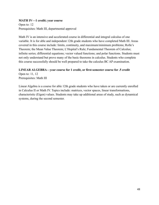## **MATH IV—1 credit; year course**

Open to: 12 Prerequisites: Math III, departmental approval

Math IV is an intensive and accelerated course in differential and integral calculus of one variable. It is for able and independent 12th grade students who have completed Math III. Areas covered in this course include: limits, continuity, and maximum/minimum problems; Rolle's Theorem; the Mean Value Theorem; L'Hopital's Rule; Fundamental Theorem of Calculus; infinite series; differential equations; vector valued functions; and polar functions. Students must not only understand but prove many of the basic theorems in calculus. Students who complete this course successfully should be well prepared to take the calculus BC AP examination.

## **LINEAR ALGEBRA—year course for 1 credit, or first-semester course for .5 credit**

Open to: 11, 12 Prerequisites: Math III

Linear Algebra is a course for able 12th grade students who have taken or are currently enrolled in Calculus II or Math IV. Topics include: matrices, vector spaces, linear transformations, characteristic (Eigen) values. Students may take up additional areas of study, such as dynamical systems, during the second semester.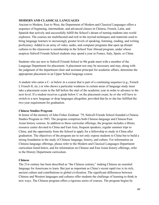## <span id="page-49-0"></span>**MODERN AND CLASSICAL LANGUAGES**

Ancient to Modern, East to West, the Department of Modern and Classical Languages offers a sequence of beginning, intermediate, and advanced classes in Chinese, French, Latin, and Spanish that actively and successfully fulfill the School's dream of turning students into world explorers. The courses are multifaceted and rich in the myriad techniques and materials used to bring language learners to increasingly greater levels of speaking, listening, reading, and writing proficiency. Added to an array of video, audio, and computer programs that open up distant cultures to the classroom is membership in the School Year Abroad program, under whose auspices Sidwell Friends School students may spend a year in France, Italy, Spain, or China.

Students who are new to Sidwell Friends School in 9th grade meet with a member of the Language Department for placement. A placement test may be necessary and may, along with the judgment of the department chair and assistant principal for academic affairs, determine the appropriate placement in an Upper School language course.

A student who earns a C- or below in a course that is part of a continuing sequence (e.g., French I, French II, etc.) or who shows a particular weakness in certain areas of language study must take a placement exam in the fall before the start of the academic year in order to advance to the next level. If a student receives a grade below C on the placement exam, he or she will have to switch to a new language or drop languages altogether, provided that he or she has fulfilled the two-year requirement for graduation.

## **Chinese Studies Program**

In honor of the memory of John Fisher Zeidman '79, Sidwell Friends School founded a Chinese Studies Program in 1983. The program comprises both Chinese-language and Chinese/East Asian history courses. In addition to these curricular offerings, the program includes a library resource center devoted to China and East Asia, frequent speakers, regular summer trips to China, and the opportunity from the School to apply for a fellowship to study in China after graduation. The objectives of the program are to not only expose students to China but to build a strong foundation in the study of Chinese language, history, and culture. For information on Chinese-language offerings, please refer to the Modern and Classical Languages Department curriculum listed below, and for information on Chinese and East Asian history offerings, refer to the History Department curriculum.

## **Chinese**

The 21st century has been described as "the Chinese century," making Chinese an essential language for Americans to learn. But just as important as China's recent rapid rise is its rich, ancient culture and contributions to global civilization. The significant differences between Chinese and Western languages and cultures offer students the challenge of learning to think in new ways. The Chinese program offers a rigorous series of courses. The program begins by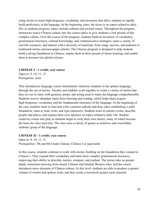using stories to teach high-frequency vocabulary and structures that allow students to rapidly build proficiency in the language. In the beginning years, the focus is on topics related to daily life; as students progress, topics include cultural and societal issues. Throughout the program, instructors weave Chinese culture into the course topics to give students a rich picture of this complex culture. Over the course of the program, students build an inventory of vocabulary, grammatical structures, cultural knowledge, and communicative strategies; enact a variety of real-life scenarios; and interact with a diversity of materials, from songs, movies, and podcasts to traditional stories and newspaper articles. The Chinese program is designed to help students build a strong foundation in Chinese, inspire them in their pursuit of future learning, and enable them to become true global citizens.

#### **CHINESE I—1 credit; year course**

Open to: 9, 10, 11, 12 Prerequisite: none

This introductory language course immediately immerses students in the spoken language through the use of stories. Teacher and students work together to create a variety of stories that they act out in class, with gestures, props, and acting used to make the language comprehensible. Students receive abundant input from listening and reading, which helps them acquire high-frequency vocabulary and the fundamental structures of the language. At the beginning of the year, students learn to read and write common radicals and then, after establishing a solid foundation, learn to read, write, and type characters. Students learn to narrate events, describe people and places, and express their own opinions on topics related to daily life. Student creativity comes into play as students begin to write their own stories, many of which become the basis for class activities. The class uses a variety of games to reinforce and consolidate students' grasp of the language.

#### **CHINESE II—1 credit; year course**

Open to: 9, 10, 11, 12 Prerequisites: 7th and 8th Grade Chinese, Chinese I or equivalent

In this course, students continue to work with stories, building on the foundation they created in Chinese I. They expand their vocabulary and learn more complex grammatical structures, improving their ability to describe, narrate, compare, and explain. The stories take on greater depth, sometimes drawing from classic Chinese and familiar Western tales, and the course introduces more elements of Chinese culture. At this level, students are able to produce a greater volume of written and spoken work, and they create a storybook project each semester.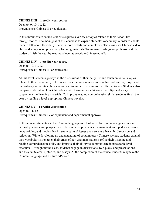#### **CHINESE III—1 credit; year course**

Open to: 9, 10, 11, 12 Prerequisites: Chinese II or equivalent

In this intermediate course, students explore a variety of topics related to their School life through stories. The main goal of this course is to expand students' vocabulary in order to enable them to talk about their daily life with more details and complexity. The class uses Chinese video clips and songs as supplementary listening materials. To improve reading-comprehension skills, students finish the year by reading a level-appropriate Chinese novella.

## **CHINESE IV—1 credit; year course**

Open to: 10, 11, 12 Prerequisites: Chinese III or equivalent

At this level, students go beyond the discussions of their daily life and touch on various topics related to their community. The course uses pictures, news stories, online video clips, blogs, and micro-blogs to facilitate the narration and to initiate discussions on different topics. Students also compare and contrast how China deals with those issues. Chinese video clips and songs supplement the listening materials. To improve reading comprehension skills, students finish the year by reading a level-appropriate Chinese novella.

## **CHINESE V—1 credit; year course**

Open to: 11, 12 Prerequisites: Chinese IV or equivalent and departmental approval

In this course, students use the Chinese language as a tool to explore and investigate Chinese cultural practices and perspectives. The teacher supplements the main text with podcasts, stories, news articles, and movies that illustrate cultural issues and serve as a basis for discussion and reflection. While developing an understanding of contemporary Chinese society, students expand their vocabulary, strengthen their grasp of key grammar patterns, refine their listening and reading comprehension skills, and improve their ability to communicate in paragraph-level discourse. Throughout the class, students engage in discussions, role-plays, and presentations, and they write emails, stories, and essays. At the completion of the course, students may take the Chinese Language and Culture AP exam.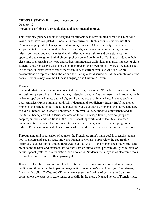#### **CHINESE SEMINAR—1 credit; year course**

Open to: 12 Prerequisites: Chinese V or equivalent and departmental approval

This multidisciplinary course is designed for students who have studied abroad in China for a year or who have completed Chinese V or the equivalent. In this course, students use their Chinese-language skills to explore contemporary issues in Chinese society. The teacher supplements the main text with authentic materials, such as online news articles, video clips, television shows, and short stories that all reflect Chinese culture and give students the opportunity to strengthen both their comprehension and analytical skills. Students devote their class time to discussing the texts and addressing linguistic difficulties that arise. Outside of class, students write persuasive essays in which they present their own point of view on related issues. In addition, students learn to apply the vocabulary to current events, giving regular oral presentations on topics of their choice and facilitating class discussions. At the completion of the course, students may take the Chinese Language and Culture AP exam.

#### **French**

In a world that has become more connected than ever, the study of French becomes a must for any cultured person. French, like English, is deeply rooted in five continents. In Europe, not only is French spoken in France, but in Belgium, Luxemburg, and Switzerland. It is also spoken in Latin America (French Guyana) and Asia (Vietnam and Pondicherry, India). In Africa alone, French is the official or co-official language in over 20 countries. French is the native language of over 80 percent of Quebec's population. Moreover, la Francophonie, a movement and an Institution headquartered in Paris, was created to form a bridge linking diverse groups of peoples, cultures, and traditions in the French-speaking world and to facilitate increased communication between the diverse cultures in a shared language. The French program at Sidwell Friends immerses students in some of the world's most vibrant cultures and traditions.

Through a natural progression of courses, the French program's main goal is to teach students how to understand, speak, read, and write French as well as to appreciate the geographic, historical, socioeconomic, and cultural wealth and diversity of the French-speaking world. Oral practice in the basic and intermediate courses uses an audio-visual program designed to develop natural speech patterns, pronunciation, and intonation. Students use a myriad of electronic tools in the classroom to support their growing skills.

Teachers select the books for each level carefully to discourage translation and to encourage reading and thinking in the target language as it is done in one's own language. The internet, French video clips, DVDs, and CDs on current events and points of grammar and culture complement the classroom experience, especially in the more advanced levels of French study.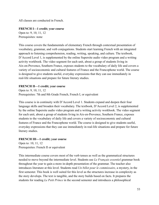All classes are conducted in French.

## **FRENCH I—1 credit; year course**

Open to: 9, 10, 11, 12 Prerequisites: none

This course covers the fundamentals of elementary French through contextual presentation of vocabulary, grammar, and verb conjugations. Students start learning French with an integrated approach to listening comprehension, reading, writing, speaking, and culture. The textbook, D'Accord Level 1, is supplemented by the online Supersite audio video program and a writing activity workbook. The video segment for each unit, about a group of students living in Aix-en-Provence, Southern France, exposes students to the vocabulary of daily life and covers a variety of socioeconomic and cultural features of France and the Francophone world. The course is designed to give students useful, everyday expressions that they can use immediately in real-life situations and prepare for future literary studies.

## **FRENCH II—1 credit; year course**

Open to: 9, 10, 11, 12 Prerequisites: 7th and 8th Grade French, French I, or equivalent

This course is in continuity with D'Accord Level 1. Students expand and deepen their four language skills and broaden their vocabulary. The textbook, D'Accord Level 2, is supplemented by the online Supersite audio video program and a writing activity workbook. The video segment for each unit, about a group of students living in Aix-en-Provence, Southern France, exposes students to the vocabulary of daily life and covers a variety of socioeconomic and cultural features of France and the Francophone world. The course is designed to give students useful, everyday expressions that they can use immediately in real-life situations and prepare for future literary studies.

## **FRENCH III—1 credit; year course**

Open to: 10, 11, 12 Prerequisites: French II or equivalent

This intermediate course covers most of the verb tenses as well as the grammatical structures needed to move beyond the intermediate level. Students use *Le Français essentiel* grammar book throughout the year to gain a more in-depth presentation of the grammar. The teacher also introduces literature at this level. Students read *Un billet pour le commissaire*, a mystery, in the first semester. This book is well suited for this level as the structures increase in complexity as the story develops. The text is tangible, and the story builds based on facts. It prepares the students for reading *Le Petit Prince* in the second semester and introduces a philosophical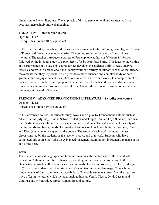dimension to French literature. The emphasis of this course is on oral and written work that becomes increasingly more challenging.

## **FRENCH IV—1 credit; year course**

Open to: 11, 12 Prerequisites: French III or equivalent

In the first semester, this advanced course exposes students to the culture, geography, and history of France and French-speaking countries. The second semester focuses on Francophone literature. The teacher introduces a variety of Francophone authors in *Moments Littéraires* followed by the in-depth study of a play, *Huis Clos* by Jean-Paul Sartre. This leads to the writing and performance of a play. This course further develops the students' skills to read, analyze, discuss, and write in French about the literary work of a variety of authors as well as the literary movements that they represent. It also provides a more nuanced and complex study of both grammar and conjugation and its applications in verbal and written works. On completion of this course, students should be well prepared to continue their French studies at an advanced level. Students who complete this course may take the Advanced Placement Examination in French Language at the end of the year.

## **FRENCH V—ADVANCED FRANCOPHONE LITERATURE—1 credit; year course**

Open to: 11, 12 Prerequisites: French IV or equivalent

In this advanced course, the students study novels and a play by Francophone authors such as Albert Camus (Algeria), Simone Schwartz-Bart (Guadeloupe), Camara Laye (Guinea), and Jean Paul Sartre (France). The second semester emphasizes drama. The authors reflect a variety of literary trends and backgrounds. The works of authors such as Anouilh, Sartre, Ionesco, Césaire, and Diop (the list may vary) enrich the course. The study of each work includes in-class discussions led by the students or the teacher, essays, and oral work. Students who have completed this course may take the Advanced Placement Examination in French Language at the end of the year.

## **Latin**

The study of classical languages and literature was once the centerpiece of the liberal arts education. Although times have changed, grounding in Latin and an introduction to the Greco-Roman world still have relevance and rewards. The Latin program, therefore, is designed to (1) acquaint students with the principles of an ancient, inflected language; (2) teach the fundamentals of Latin grammar and vocabulary; (3) enable students to read from the treasure trove of Latin literature, which includes such authors as Vergil, Cicero, Ovid, Caesar, and Catullus; and (4) introduce Greco-Roman life and culture.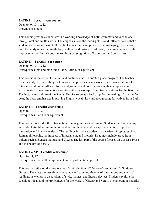**LATIN I—1 credit; year course** Open to: 9, 10, 11, 12 Prerequisites: none

This course provides students with a working knowledge of Latin grammar and vocabulary through oral and written work. The emphasis is on the reading skills and inflected forms that a student needs for success at all levels. The instructor supplements Latin-language instruction with the study of ancient mythology, culture, and history. In addition, the class emphasizes the improvement of English vocabulary through recognition of Latin roots and derivatives.

## **LATIN II—1 credit; year course**

Open to: 9, 10, 11, 12 Prerequisites: 7th and 8th Grade Latin, Latin I, or equivalent

This course is the sequel to Latin I and continues the 7th and 8th grade program. The teacher uses the early weeks of the year to review the previous year's work. The course continues to introduce additional inflected forms and grammatical constructions with an emphasis on subordinate clauses. Students encounter authentic excerpts from Roman authors for the first time. The history and culture of the Roman Empire serve as a backdrop for the readings. As in the first year, the class emphasizes improving English vocabulary and recognizing derivatives from Latin.

## **LATIN III—1 credit; year course**

Open to: 10, 11, 12 Prerequisites: Latin II or equivalent

This course concludes the introduction of new grammar and syntax. Students focus on reading authentic Latin literature in the second half of the year and pay special attention to precise translation and literary analysis. The readings introduce students to a variety of topics, such as Roman philosophy, the impacts of imperialism, and rhetoric. Readings include prose from writers such as Seneca, Sallust, and Cicero. The last part of the course focuses on Caesar's prose and the poetry of Vergil.

## **LATIN IV, AP—1 credit; year course**

Open to: 11, 12 Prerequisites: Latin III or equivalent and departmental approval

This course builds on the previous year's introduction of *The Aeneid* and Caesar's *De Bello Gallico*. The class devotes time to accuracy and growing fluency of translations and metrical readings, as well as to discussions of style, themes, and literary devices. Students explore the social, political, and literary contexts for the works of Caesar and Vergil. The amount of material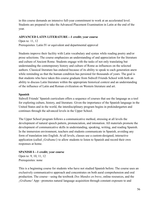in this course demands an intensive full-year commitment to work at an accelerated level. Students are prepared to take the Advanced Placement Examination in Latin at the end of the year.

#### **ADVANCED LATIN LITERATURE—1 credit; year course**

Open to: 11, 12 Prerequisites: Latin IV or equivalent and departmental approval

Students improve their facility with Latin vocabulary and syntax while reading poetry and/or prose selections. The course emphasizes an understanding of and appreciation for the literature and culture of Ancient Rome. Students engage with the tasks of not only translating but understanding the contemporary history and culture of Rome as influences on the selected authors. Classical literature has endured because of its ability to speak to each generation anew while reminding us that the human condition has persisted for thousands of years. The goal is that students who have taken this course graduate from Sidwell Friends School with both an ability to discuss Latin literature within the appropriate historical context and an understanding of the influence of Latin and Roman civilization on Western literature and art.

#### **Spanish**

Sidwell Friends' Spanish curriculum offers a sequence of courses that use the language as a tool for exploring culture, history, and literature. Given the importance of the Spanish language in the United States and in the world, the interdisciplinary program begins in prekindergarten and continues through the advanced levels in the Upper School.

The Upper School program follows a communicative method, stressing at all levels the development of natural speech pattern, pronunciation, and intonation. All materials promote the development of communicative skills in understanding, speaking, writing, and reading Spanish. In the immersion environment, teachers and students communicate in Spanish, avoiding any form of translation into English. At all levels, classes use a custom-designed, interactive application (called *¡Grábame!)* to allow students to listen to Spanish and record their own responses at home.

## **SPANISH I—1 credit; year course**

Open to: 9, 10, 11, 12 Prerequisites: none

This is a beginning course for students who have not studied Spanish before. The course uses an exclusively communicative approach and concentrates on both aural comprehension and oral production. The course—using the textbook *Dos Mundos en breve*, online resources, and the *¡Grábame!* App*—*promotes natural language acquisition through constant exposure to and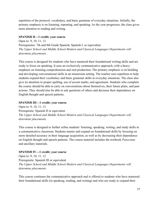repetition of the protocol, vocabulary, and basic grammar of everyday situations. Initially, the primary emphasis is on listening, repeating, and speaking. As the year progresses, the class gives more attention to reading and writing.

## **SPANISH II—1 credit; year course**

Open to: 9, 10, 11, 12 Prerequisites: 7th and 8th Grade Spanish, Spanish I, or equivalent *The Upper School and Middle School Modern and Classical Languages Departments will determine placements.*

This course is designed for students who have mastered their foundational writing skills and are ready to focus on speaking. It uses an exclusively communicative approach, with a heavy emphasis on listening comprehension and oral production. The primary emphasis is on building and developing conversational skills in an immersion setting. The teacher uses repetition to help students expand their vocabulary and basic grammar skills in everyday situations. The class also give its attention to proper spelling, use of accent marks, and agreement. Students who complete the course should be able to carry on conversations about themselves, their future plans, and past actions. They should also be able to ask questions of others and decrease their dependence on English thought and speech patterns.

## **SPANISH III—1 credit; year course**

Open to: 9, 10, 11, 12 Prerequisite: Spanish II or equivalent *The Upper School and Middle School Modern and Classical Languages Departments will determine placements.*

This course is designed to further refine students' listening, speaking, writing, and study skills in a communicative classroom. Students master and expand on foundational skills by focusing on more detailed accuracy in their language acquisition, as well as by decreasing their dependence on English thought and speech patterns. The course material includes the textbook *Panorama* and ancillary materials.

## **SPANISH IV—1 credit; year course**

Open to: 9, 10, 11, 12 Prerequisite: Spanish III or equivalent *The Upper School and Middle School Modern and Classical Languages Departments will determine placements.*

This course continues the communicative approach and is offered to students who have mastered their foundational skills (in speaking, reading, and writing) and who are ready to expand their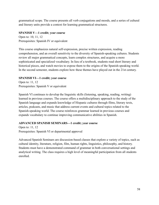grammatical scope. The course presents all verb conjugations and moods, and a series of cultural and literary units provide a context for learning grammatical structures.

## **SPANISH V—1 credit; year course**

Open to: 10, 11, 12 Prerequisites: Spanish IV or equivalent

This course emphasizes natural self-expression, precise written expression, reading comprehension, and an overall sensitivity to the diversity of Spanish-speaking cultures. Students review all major grammatical concepts, learn complex structures, and acquire a more sophisticated and specialized vocabulary. In lieu of a textbook, students read short literary and historical pieces, and watch movies to expose them to the origins of the Spanish-speaking world. In the second semester, students explore how these themes have played out in the 21st century.

## **SPANISH VI—1 credit; year course**

Open to: 11, 12 Prerequisites: Spanish V or equivalent

Spanish VI continues to develop the linguistic skills (listening, speaking, reading, writing) learned in previous courses. The course offers a multidisciplinary approach to the study of the Spanish language and expands knowledge of Hispanic cultures through films, literary texts, articles, podcasts, and music that address current events and cultural topics related to the Spanish-speaking world. The course reinforces grammar learned in previous courses and expands vocabulary to continue improving communicative abilities in Spanish.

## **ADVANCED SPANISH SEMINARS—1 credit; year course**

Open to: 11, 12 Prerequisites: Spanish VI or departmental approval

<span id="page-58-0"></span>Advanced Spanish Seminars are discussion-based classes that explore a variety of topics, such as cultural identity, literature, religion, film, human rights, linguistics, philosophy, and history. Students must have a demonstrated command of grammar in both conversational settings and analytical writing. The class requires a high level of meaningful participation from all students enrolled.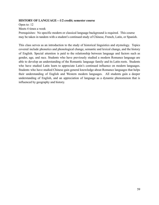## **HISTORY OF LANGUAGE—1/2 credit; semester course**

Open to: 12 Meets 4 times a week Prerequisites: No specific modern or classical language background is required. This course may be taken in tandem with a student's continued study of Chinese, French, Latin, or Spanish.

This class serves as an introduction to the study of historical linguistics and etymology. Topics covered include phonetics and phonological change, semantic and lexical change, and the history of English. Special attention is paid to the relationship between language and factors such as gender, age, and race. Students who have previously studied a modern Romance language are able to develop an understanding of the Romantic language family and its Latin roots. Students who have studied Latin learn to appreciate Latin's continued influence on modern languages. Students who have studied Chinese gain general knowledge about Romance languages that helps their understanding of English and Western modern languages. All students gain a deeper understanding of English, and an appreciation of language as a dynamic phenomenon that is influenced by geography and history.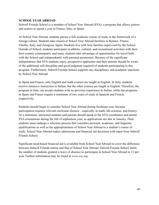## **SCHOOL YEAR ABROAD**

Sidwell Friends School is a member of School Year Abroad (SYA), a program that allows juniors and seniors to spend a year in France, Italy, or Spain.

At School Year Abroad, students pursue a full academic course of study in the framework of a foreign culture. Students take classes at School Year Abroad facilities in Rennes, France; Viterbo, Italy; and Zaragoza, Spain. Students live with host families supervised by the School. Outside of School, students participate in athletic, cultural, and recreational activities with their host-country counterparts, and many students take advantage of opportunities for travel both with the School and independently with parental permission. Because of the significant independence that SYA students enjoy, prospective applicants and their parents should be aware of the additional self-discipline and good judgment required of students participating in this program. Furthermore, Sidwell Friends School supports any disciplinary and academic sanctions by School Year Abroad.

In Spain and France, only English and math courses are taught in English. In Italy, students receive intensive instruction in Italian, but the other courses are taught in English. Therefore, the program in Italy can accept students with no previous experience in Italian, while the programs in Spain and France require a minimum of two years of study in Spanish and French, respectively.

Students should begin to consider School Year Abroad during freshman year, because participation requires relevant curricular choices—especially in math, lab sciences, and history. At a minimum, interested students and parents should speak to the SYA coordinator and attend SYA orientations during the fall of sophomore year, as applications are due in January. Then, students must undergo a selection process that considers personal, academic, and linguistic qualifications as well as the appropriateness of School Year Abroad to a student's course of study. School Year Abroad makes admissions and financial aid decisions with input from Sidwell Friends School.

Significant need-based financial aid is available from School Year Abroad to cover the difference between Sidwell Friends tuition and that of School Year Abroad. Sidwell Friends School limits the number of students granted a leave of absence to participate in School Year Abroad to 12 per year. Further information may be found at *[w](http://www.sya.org)ww.sya.org*.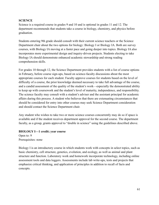## <span id="page-61-0"></span>**SCIENCE**

Science is a required course in grades 9 and 10 and is optional in grades 11 and 12. The department recommends that students take a course in biology, chemistry, and physics before graduation.

Students entering 9th grade should consult with their current science teachers or the Science Department chair about the two options for biology: Biology I or Biology IA. Both are survey courses, with Biology IA moving at a faster pace and going deeper into topics. Biology IA also incorporates more experimental design and inquiry-driven projects. Students electing to take Biology IA should demonstrate enhanced academic stewardship and strong reading comprehension skills.

For grades 10 through 12, the Science Department provides students with a list of course options in February, before course sign-ups, based on science-faculty discussions about the most appropriate courses for each student. Faculty approve courses for students based on the level of difficulty of a course, the prior knowledge deemed necessary to take full advantage of the course, and a candid assessment of the quality of the student's work—especially the demonstrated ability to keep up with coursework and the student's level of maturity, independence, and responsibility. The science faculty may consult with a student's adviser and the assistant principal for academic affairs during this process. A student who believes that there are extenuating circumstances that should be considered for entry into other courses may seek Science Department consideration and should contact the Science Department chair.

Any student who wishes to take two or more science courses concurrently may do so if space is available and if the student receives department approval for the second course. The department faculty, as a group, grants approval to "double in science" using the guidelines described above.

#### **BIOLOGY I—1 credit; year course**

Open to: 9 Prerequisites: none

Biology I is an introductory course in which students work with concepts in select topics, such as basic chemistry, cell structure, genetics, evolution, and ecology, as well as animal and plant structure and function. Laboratory work and homework incorporate technology, including online assessment tools and data loggers. Assessments include lab write-ups, tests and projects that emphasize critical thinking, and application of principles in addition to recall of facts and concepts.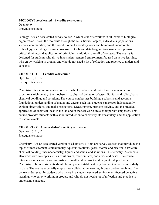#### **BIOLOGY I Accelerated—1 credit; year course**

Open to: 9 Prerequisites: none

Biology IA is an accelerated survey course in which students work with all levels of biological organization—from the molecule through the cells, tissues, organs, individuals, populations, species, communities, and the world biome. Laboratory work and homework incorporate technology, including electronic assessment tools and data loggers. Assessments emphasize critical thinking and application of principles in addition to recall of concepts. The course is designed for students who thrive in a student-centered environment focused on active learning, who enjoy working in groups, and who do not need a lot of reflection and practice to understand concepts.

#### **CHEMISTRY I—1 credit; year course**

Open to: 10, 11, 12 Prerequisites: none

Chemistry I is a comprehensive course in which students work with the concepts of atomic structure; stoichiometry; thermochemistry; physical behavior of gases, liquids, and solids; basic chemical bonding; and solutions. The course emphasizes building a cohesive and accurate foundational understanding of matter and energy such that students can reason independently, explain observations, and make predictions. Measurement, problem-solving, and the practical application of chemical ideas in the lab and in the real world are also important emphases. This course provides students with a solid introduction to chemistry, its vocabulary, and its application to natural events.

## **CHEMISTRY I Accelerated—1 credit; year course**

Open to: 10, 11, 12 Prerequisites: none

Chemistry IA is an accelerated version of Chemistry I. Both are survey courses that introduce the topics of measurement, stoichiometry, aqueous reactions, gases, atomic and electronic structure, chemical bonding, thermochemistry, liquids and solids, and solutions. In Chemistry IA students also work with concepts such as equilibrium, reaction rates, and acids and bases. The course introduces topics with more sophisticated math and lab work and in greater depth than in Chemistry I. In turn, students should be very comfortable with algebra, as it is used almost daily in class. The course especially emphasizes collaborative learning through problem-solving. The course is designed for students who thrive in a student-centered environment focused on active learning, who enjoy working in groups, and who do not need a lot of reflection and practice to understand concepts.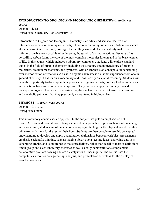## **INTRODUCTION TO ORGANIC AND BIOORGANIC CHEMISTRY--1 credit; year course**

Open to: 11, 12 Prerequisite: Chemistry 1 or Chemistry 1A

Introduction to Organic and Bioorganic Chemistry is an advanced science elective that introduces students to the unique chemistry of carbon-containing molecules. Carbon is a special atom because it is exceedingly average. Its middling size and electronegativity make it an infinitely tunable atom capable of undergoing thousands of distinct reactions. Because of its versatility, carbon forms the core of the most complex molecules known and is the basic element of life. In this course, which includes a laboratory component, students will explore standard topics in the field of organic chemistry, including the structure and nomenclature of organic molecules, reaction mechanisms, and synthesis, with an emphasis on conceptual understanding over memorization of reactions. A class in organic chemistry is a distinct experience from one in general chemistry. It has its own vocabulary and leans heavily on spatial reasoning. Students will have the opportunity to draw upon their prior knowledge in chemistry as they look at molecules and reactions from an entirely new perspective. They will also apply their newly learned concepts in organic chemistry to understanding the mechanistic details of enzymatic reactions and metabolic pathways that they previously encountered in biology class.

## **PHYSICS I—1 credit; year course**

Open to: 10, 11, 12 Prerequisites: none

This introductory course uses an approach to the subject that puts an emphasis on both *comprehension* and *computation.* Using a conceptual approach to topics such as motion, energy, and momentum, students are often able to develop a gut feeling for the physical world that they will carry with them for the rest of their lives. Students are then be able to use this conceptual understanding to develop and apply quantitative relationships between variables. Assessments emphasize scientific thinking, such as making observations, testing ideas, analyzing data sets, generating graphs, and using trends to make predictions, rather than recall of facts or definitions. Small group and class laboratory exercises as well as daily demonstrations complement collaborative problem-solving and are a catalyst for further inquiry. The course uses the computer as a tool for data gathering, analysis, and presentation as well as for the display of visual information.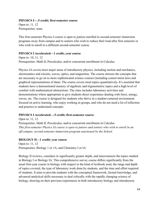#### **PHYSICS I—.5 credit; first-semester course**

Open to: 11, 12 Prerequisites: none

This first-semester Physics I course is open to juniors enrolled in second-semester immersion programs away from campus and to seniors who wish to reduce their load after first semester or who wish to enroll in a different second-semester course.

## **PHYSICS I Accelerated—1 credit; year course**

Open to: 10, 11, 12 Prerequisites: Math II, Precalculus, and/or concurrent enrollment in Calculus

Physics IA covers most major areas of introductory physics, including motion and mechanics, electrostatics and circuits, waves, optics, and magnetism. The course stresses the concepts that are necessary to go on to more sophisticated science courses (including conservation laws and graphical representations of data). The course covers most topics quantitatively. It's essential that students have a demonstrated mastery of algebraic and trigonometric topics and a high level of comfort with mathematical abstractions. The class includes laboratory activities and demonstrations where appropriate to give students direct experience dealing with force, energy, waves, etc. The course is designed for students who thrive in a student-centered environment focused on active learning, who enjoy working in groups, and who do not need a lot of reflection and practice to understand concepts.

## **PHYSICS I Accelerated—.5 credit; first-semester course**

Open to: 11, 12 Prerequisites: Math II, Precalculus, and/or concurrent enrollment in Calculus *This first-semester Physics IA course is open to juniors and seniors who wish to enroll in an off-campus, second-semester immersion program sanctioned by the School.*

## **BIOLOGY II—1 credit; year course**

Open to: 11, 12 Prerequisites: Biology 1 or 1A, and Chemistry I or IA

Biology II reviews, considers in significantly greater depth, and interconnects the topics studied in Biology I or Biology IA. This comprehensive survey course differs significantly from the usual first-year course in biology with respect to the kind of textbook used, the range and depth of topics covered, the type of laboratory work done by students, and the time and effort required of students. It aims to provide students with the conceptual framework, factual knowledge, and advanced analytical skills necessary to deal critically with the rapidly changing science of biology, drawing on their previous experiences in both introductory biology and introductory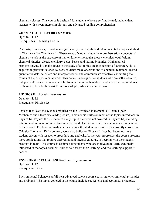chemistry classes. This course is designed for students who are self-motivated, independent learners with a keen interest in biology and advanced reading comprehension.

## **CHEMISTRY II—1 credit; year course**

Open to: 11, 12 Prerequisites: Chemistry I or 1A

Chemistry II reviews, considers in significantly more depth, and interconnects the topics studied in Chemistry I or Chemistry IA. These areas of study include the more theoretical concepts of chemistry, such as the structure of matter, kinetic-molecular theory, chemical equilibrium, chemical kinetics, electrochemistry, acids, bases, and thermodynamics. Mathematical problem-solving is a major focus in the study of all topics. In an extension of laboratory skills acquired in previous science courses, students make observations of chemical reactions, record quantitative data, calculate and interpret results, and communicate effectively in writing the results of their experimental work. This course is designed for students who are self-motivated, independent learners who have a solid foundation in mathematics. Students with a keen interest in chemistry benefit the most from this in-depth, advanced-level course.

## **PHYSICS II—1 credit; year course**

Open to: 11, 12 Prerequisite: Physics 1A

Physics II follows the syllabus required for the Advanced Placement "C" Exams (both Mechanics and Electricity & Magnetism). This course builds on most of the topics introduced in Physics IA. Physics II also includes many topics that were not covered in Physics IA, including rotation and momentum in the first semester, and electric potential, capacitance, and inductance in the second. The level of mathematics assumes the student has taken or is currently enrolled in Calculus II or Math IV. Laboratory work also builds on Physics IA labs but becomes more student-driven with respect to procedure and analysis. As the year progresses, the course presents more applications that require differential and integral calculus, in keeping with the students' progress in math. This course is designed for students who are motivated to learn, genuinely interested in the topics, resilient, able to self-assess their learning, and use learning support if needed

## **ENVIRONMENTAL SCIENCE—1 credit; year course**

Open to: 11, 12 Prerequisites: none

Environmental Science is a full-year advanced-science course covering environmental principles and problems. The topics covered in the course include ecosystems and ecological principles,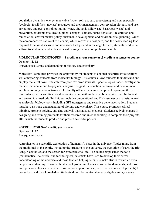population dynamics, energy, renewable (water, soil, air, sun, ecosystems) and nonrenewable (geologic, fossil fuels, nuclear) resources and their management, conservation biology, land use, agriculture and pest control, pollution (water, air, land, solid waste, hazardous waste) and prevention, environmental health, global changes (climate, ozone depletion), restoration and remediation, environmental policy, sustainable development, and environmental planning. Given the comprehensive nature of this course, which moves at a fast pace, and the heavy reading load required for class discussion and necessary background knowledge for labs, students need to be self-motivated, independent learners with strong reading comprehension skills.

## **MOLECULAR TECHNIQUES —1 credit as a year course or .5 credit as a semester course**

Open to: 11, 12 Prerequisites: strong understanding of biology and chemistry

Molecular Techniques provides the opportunity for students to conduct scientific investigations while mastering concepts from molecular biology. This course allows students to understand and employ the latest novel research from peer-reviewed journals. Specific topics under investigation include: molecular and biophysical analysis of signal transduction pathways and development and function of genetic networks. The faculty offers an integrated approach, spanning the use of molecular genetics and functional genomics along with molecular, biochemical, cell biological, and anatomical methods. Techniques include computational and DNA-sequence analysis, as well as molecular biology tools, including GFP transgenics and selective gene inactivation. Students must have a strong understanding of biology and chemistry. This course promotes critical thinking, problem-solving, and data analysis via statistical methods. Students actively engage in designing and refining protocols for their research and in collaborating to complete their projects, after which the students produce and present scientific posters.

## **ASTROPHYSICS—1 credit; year course**

Open to: 11, 12 Prerequisites: none

Astrophysics is a scientific exploration of humanity's place in the universe. Topics range from the traditional to the exotic, including the structure of the universe, the evolution of stars, the Big Bang, black holes, and the search for extraterrestrial life. The course emphasizes the tools (mathematical, scientific, and technological) scientists have used to develop their current understanding of the universe and those that are helping scientists make strides toward an even deeper understanding. Those without a background in physics learn the fundamentals, and those with previous physics experience have various opportunities (particularly in research projects) to use and expand their knowledge. Students should be comfortable with algebra and geometry.